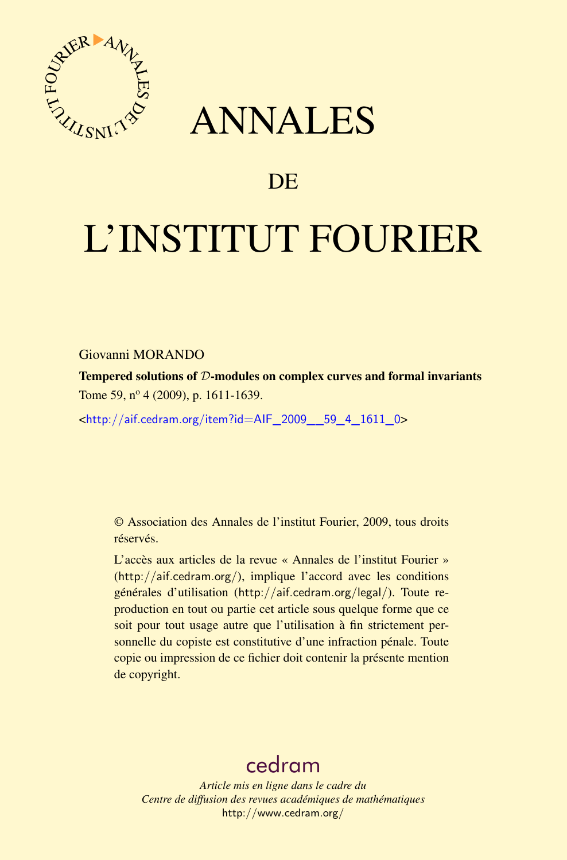

## ANNALES

## **DE**

# L'INSTITUT FOURIER

Giovanni MORANDO

Tempered solutions of D-modules on complex curves and formal invariants Tome 59, nº 4 (2009), p. 1611-1639.

<[http://aif.cedram.org/item?id=AIF\\_2009\\_\\_59\\_4\\_1611\\_0](http://aif.cedram.org/item?id=AIF_2009__59_4_1611_0)>

© Association des Annales de l'institut Fourier, 2009, tous droits réservés.

L'accès aux articles de la revue « Annales de l'institut Fourier » (<http://aif.cedram.org/>), implique l'accord avec les conditions générales d'utilisation (<http://aif.cedram.org/legal/>). Toute reproduction en tout ou partie cet article sous quelque forme que ce soit pour tout usage autre que l'utilisation à fin strictement personnelle du copiste est constitutive d'une infraction pénale. Toute copie ou impression de ce fichier doit contenir la présente mention de copyright.

## [cedram](http://www.cedram.org/)

*Article mis en ligne dans le cadre du Centre de diffusion des revues académiques de mathématiques* <http://www.cedram.org/>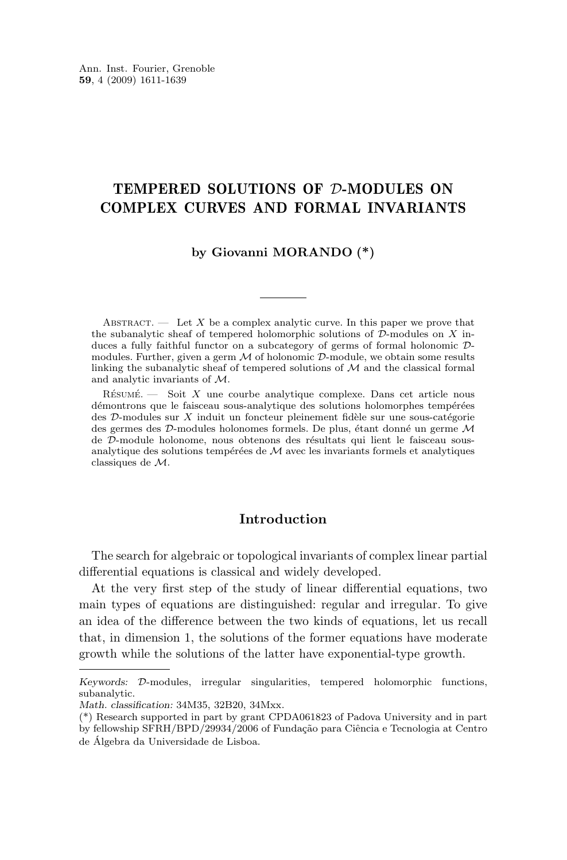## TEMPERED SOLUTIONS OF D-MODULES ON COMPLEX CURVES AND FORMAL INVARIANTS

## **by Giovanni MORANDO (\*)**

ABSTRACT. — Let X be a complex analytic curve. In this paper we prove that the subanalytic sheaf of tempered holomorphic solutions of  $D$ -modules on X induces a fully faithful functor on a subcategory of germs of formal holonomic Dmodules. Further, given a germ  $M$  of holonomic  $D$ -module, we obtain some results linking the subanalytic sheaf of tempered solutions of M and the classical formal and analytic invariants of M.

 $R$ ÉSUMÉ. — Soit X une courbe analytique complexe. Dans cet article nous démontrons que le faisceau sous-analytique des solutions holomorphes tempérées des D-modules sur X induit un foncteur pleinement fidèle sur une sous-catégorie des germes des D-modules holonomes formels. De plus, étant donné un germe M de D-module holonome, nous obtenons des résultats qui lient le faisceau sousanalytique des solutions tempérées de M avec les invariants formels et analytiques classiques de M.

## **Introduction**

The search for algebraic or topological invariants of complex linear partial differential equations is classical and widely developed.

At the very first step of the study of linear differential equations, two main types of equations are distinguished: regular and irregular. To give an idea of the difference between the two kinds of equations, let us recall that, in dimension 1, the solutions of the former equations have moderate growth while the solutions of the latter have exponential-type growth.

*Keywords:* D-modules, irregular singularities, tempered holomorphic functions, subanalytic.

*Math. classification:* 34M35, 32B20, 34Mxx.

<sup>(\*)</sup> Research supported in part by grant CPDA061823 of Padova University and in part by fellowship SFRH/BPD/29934/2006 of Fundação para Ciência e Tecnologia at Centro

de Álgebra da Universidade de Lisboa.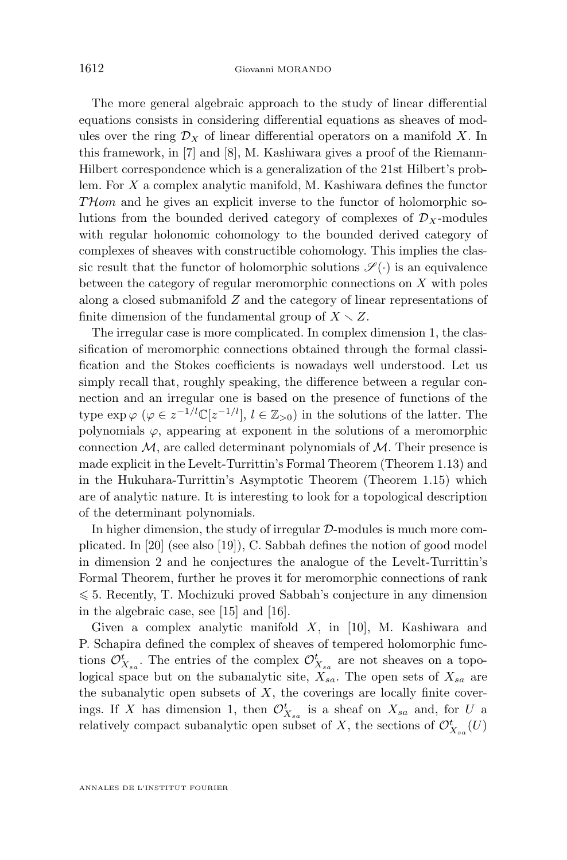The more general algebraic approach to the study of linear differential equations consists in considering differential equations as sheaves of modules over the ring  $\mathcal{D}_X$  of linear differential operators on a manifold X. In this framework, in [\[7\]](#page-28-0) and [\[8\]](#page-28-0), M. Kashiwara gives a proof of the Riemann-Hilbert correspondence which is a generalization of the 21st Hilbert's problem. For  $X$  a complex analytic manifold, M. Kashiwara defines the functor THom and he gives an explicit inverse to the functor of holomorphic solutions from the bounded derived category of complexes of  $\mathcal{D}_X$ -modules with regular holonomic cohomology to the bounded derived category of complexes of sheaves with constructible cohomology. This implies the classic result that the functor of holomorphic solutions  $\mathscr{S}(\cdot)$  is an equivalence between the category of regular meromorphic connections on  $X$  with poles along a closed submanifold Z and the category of linear representations of finite dimension of the fundamental group of  $X \setminus Z$ .

The irregular case is more complicated. In complex dimension 1, the classification of meromorphic connections obtained through the formal classification and the Stokes coefficients is nowadays well understood. Let us simply recall that, roughly speaking, the difference between a regular connection and an irregular one is based on the presence of functions of the type  $\exp \varphi \, (\varphi \in z^{-1/l} \mathbb{C}[z^{-1/l}], l \in \mathbb{Z}_{>0})$  in the solutions of the latter. The polynomials  $\varphi$ , appearing at exponent in the solutions of a meromorphic connection  $\mathcal{M}$ , are called determinant polynomials of  $\mathcal{M}$ . Their presence is made explicit in the Levelt-Turrittin's Formal Theorem (Theorem [1.13\)](#page-10-0) and in the Hukuhara-Turrittin's Asymptotic Theorem (Theorem [1.15\)](#page-10-0) which are of analytic nature. It is interesting to look for a topological description of the determinant polynomials.

In higher dimension, the study of irregular  $D$ -modules is much more complicated. In [\[20\]](#page-29-0) (see also [\[19\]](#page-29-0)), C. Sabbah defines the notion of good model in dimension 2 and he conjectures the analogue of the Levelt-Turrittin's Formal Theorem, further he proves it for meromorphic connections of rank  $\leq 5$ . Recently, T. Mochizuki proved Sabbah's conjecture in any dimension in the algebraic case, see [\[15\]](#page-29-0) and [\[16\]](#page-29-0).

Given a complex analytic manifold  $X$ , in [\[10\]](#page-28-0), M. Kashiwara and P. Schapira defined the complex of sheaves of tempered holomorphic functions  $\mathcal{O}_{X_{sa}}^t$ . The entries of the complex  $\mathcal{O}_{X_{sa}}^t$  are not sheaves on a topological space but on the subanalytic site,  $X_{sa}$ . The open sets of  $X_{sa}$  are the subanalytic open subsets of  $X$ , the coverings are locally finite coverings. If X has dimension 1, then  $\mathcal{O}_{X_{sa}}^t$  is a sheaf on  $X_{sa}$  and, for U a relatively compact subanalytic open subset of X, the sections of  $\mathcal{O}_{X_{sa}}^t(U)$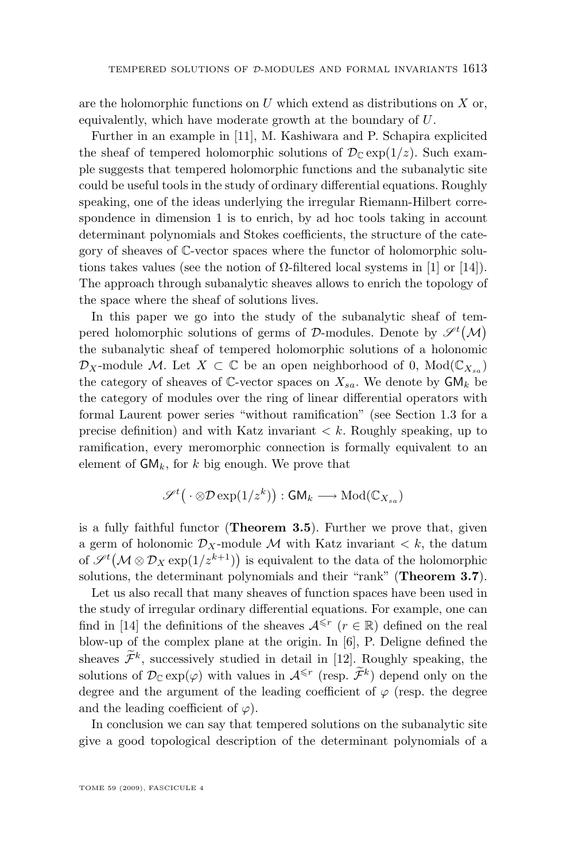are the holomorphic functions on  $U$  which extend as distributions on  $X$  or, equivalently, which have moderate growth at the boundary of U.

Further in an example in [\[11\]](#page-28-0), M. Kashiwara and P. Schapira explicited the sheaf of tempered holomorphic solutions of  $\mathcal{D}_{\mathbb{C}} \exp(1/z)$ . Such example suggests that tempered holomorphic functions and the subanalytic site could be useful tools in the study of ordinary differential equations. Roughly speaking, one of the ideas underlying the irregular Riemann-Hilbert correspondence in dimension 1 is to enrich, by ad hoc tools taking in account determinant polynomials and Stokes coefficients, the structure of the category of sheaves of C-vector spaces where the functor of holomorphic solutions takes values (see the notion of  $\Omega$ -filtered local systems in [\[1\]](#page-28-0) or [\[14\]](#page-29-0)). The approach through subanalytic sheaves allows to enrich the topology of the space where the sheaf of solutions lives.

In this paper we go into the study of the subanalytic sheaf of tempered holomorphic solutions of germs of D-modules. Denote by  $\mathscr{S}^{t}(\mathcal{M})$ the subanalytic sheaf of tempered holomorphic solutions of a holonomic  $\mathcal{D}_X$ -module M. Let  $X \subset \mathbb{C}$  be an open neighborhood of 0,  $Mod(\mathbb{C}_{X_{sa}})$ the category of sheaves of  $\mathbb{C}$ -vector spaces on  $X_{sa}$ . We denote by  $\mathsf{GM}_k$  be the category of modules over the ring of linear differential operators with formal Laurent power series "without ramification" (see Section [1.3](#page-9-0) for a precise definition) and with Katz invariant  $\lt k$ . Roughly speaking, up to ramification, every meromorphic connection is formally equivalent to an element of  $GM_k$ , for k big enough. We prove that

$$
\mathscr{S}^t\big(\cdot\otimes{\mathcal D}\exp(1/z^k)\big):\mathsf{GM}_k\longrightarrow{\rm Mod}(\mathbb{C}_{X_{sa}})
$$

is a fully faithful functor (**Theorem [3.5](#page-25-0)**). Further we prove that, given a germ of holonomic  $\mathcal{D}_X$ -module M with Katz invariant  $\lt k$ , the datum of  $\mathscr{S}^{t}(\mathcal{M}\otimes \mathcal{D}_X \exp(1/z^{k+1}))$  is equivalent to the data of the holomorphic solutions, the determinant polynomials and their "rank" (**Theorem [3.7](#page-27-0)**).

Let us also recall that many sheaves of function spaces have been used in the study of irregular ordinary differential equations. For example, one can find in [\[14\]](#page-29-0) the definitions of the sheaves  $\mathcal{A}^{\leq r}$  ( $r \in \mathbb{R}$ ) defined on the real blow-up of the complex plane at the origin. In [\[6\]](#page-28-0), P. Deligne defined the sheaves  $\mathcal{F}^k$ , successively studied in detail in [\[12\]](#page-29-0). Roughly speaking, the solutions of  $\mathcal{D}_{\mathbb{C}} \exp(\varphi)$  with values in  $\mathcal{A}^{\leq r}$  (resp.  $\widetilde{\mathcal{F}}^k$ ) depend only on the degree and the argument of the leading coefficient of  $\varphi$  (resp. the degree and the leading coefficient of  $\varphi$ ).

In conclusion we can say that tempered solutions on the subanalytic site give a good topological description of the determinant polynomials of a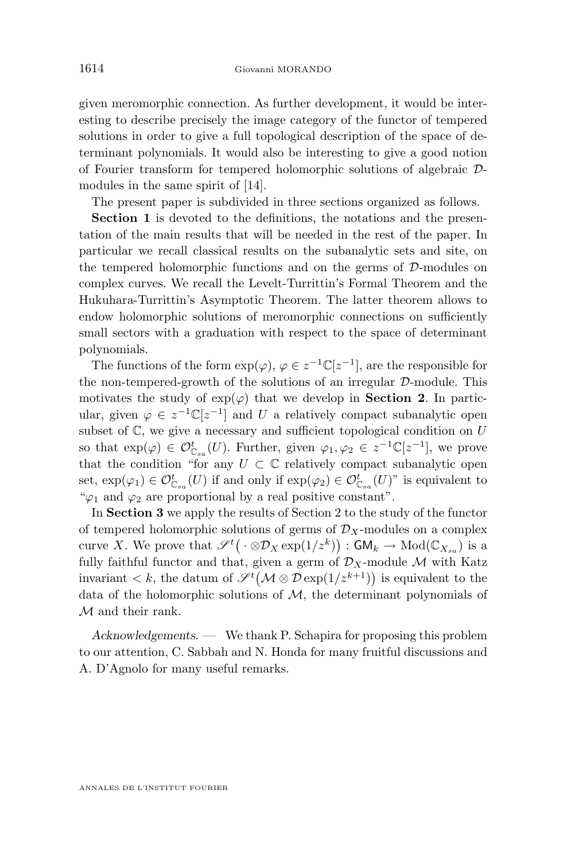given meromorphic connection. As further development, it would be interesting to describe precisely the image category of the functor of tempered solutions in order to give a full topological description of the space of determinant polynomials. It would also be interesting to give a good notion of Fourier transform for tempered holomorphic solutions of algebraic Dmodules in the same spirit of [\[14\]](#page-29-0).

The present paper is subdivided in three sections organized as follows.

**Section 1** is devoted to the definitions, the notations and the presentation of the main results that will be needed in the rest of the paper. In particular we recall classical results on the subanalytic sets and site, on the tempered holomorphic functions and on the germs of  $D$ -modules on complex curves. We recall the Levelt-Turrittin's Formal Theorem and the Hukuhara-Turrittin's Asymptotic Theorem. The latter theorem allows to endow holomorphic solutions of meromorphic connections on sufficiently small sectors with a graduation with respect to the space of determinant polynomials.

The functions of the form  $\exp(\varphi)$ ,  $\varphi \in z^{-1} \mathbb{C}[z^{-1}]$ , are the responsible for the non-tempered-growth of the solutions of an irregular D-module. This motivates the study of  $exp(\varphi)$  that we develop in **Section 2**. In particular, given  $\varphi \in z^{-1} \mathbb{C}[z^{-1}]$  and U a relatively compact subanalytic open subset of  $\mathbb C$ , we give a necessary and sufficient topological condition on  $U$ so that  $\exp(\varphi) \in \mathcal{O}_{\mathbb{C}_{sa}}^t(U)$ . Further, given  $\varphi_1, \varphi_2 \in z^{-1}\mathbb{C}[z^{-1}]$ , we prove that the condition "for any  $U \subset \mathbb{C}$  relatively compact subanalytic open set,  $\exp(\varphi_1) \in \mathcal{O}_{\mathbb{C}_{sa}}^t(U)$  if and only if  $\exp(\varphi_2) \in \mathcal{O}_{\mathbb{C}_{sa}}^t(U)$ " is equivalent to " $\varphi_1$  and  $\varphi_2$  are proportional by a real positive constant".

In **Section 3** we apply the results of Section 2 to the study of the functor of tempered holomorphic solutions of germs of  $\mathcal{D}_X$ -modules on a complex curve X. We prove that  $\mathscr{S}^t(\cdot \otimes \mathcal{D}_X \exp(1/z^k)) : \mathsf{GM}_k \to \mathrm{Mod}(\mathbb{C}_{X_{sa}})$  is a fully faithful functor and that, given a germ of  $\mathcal{D}_X$ -module M with Katz invariant  $\lt k$ , the datum of  $\mathscr{S}^t(\mathcal{M} \otimes \mathcal{D} \exp(1/z^{k+1}))$  is equivalent to the data of the holomorphic solutions of  $M$ , the determinant polynomials of M and their rank.

*Acknowledgements. —* We thank P. Schapira for proposing this problem to our attention, C. Sabbah and N. Honda for many fruitful discussions and A. D'Agnolo for many useful remarks.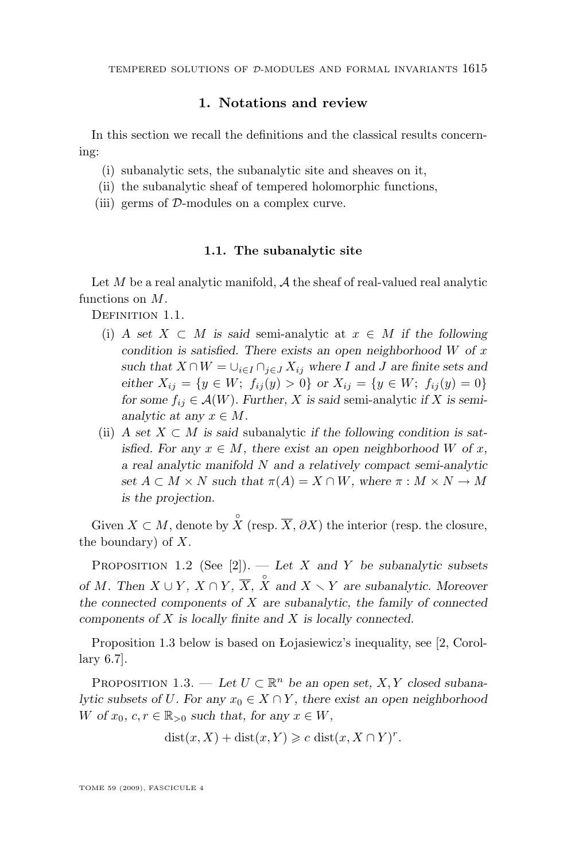## **1. Notations and review**

<span id="page-5-0"></span>In this section we recall the definitions and the classical results concerning:

- (i) subanalytic sets, the subanalytic site and sheaves on it,
- (ii) the subanalytic sheaf of tempered holomorphic functions,
- (iii) germs of D-modules on a complex curve.

#### **1.1. The subanalytic site**

Let  $M$  be a real analytic manifold,  $\mathcal A$  the sheaf of real-valued real analytic functions on M.

DEFINITION 1.1.

- (i) *A set*  $X \subseteq M$  *is said* semi-analytic at  $x \in M$  *if the following condition is satisfied. There exists an open neighborhood* W *of* x *such that*  $X \cap W = \bigcup_{i \in I} \bigcap_{j \in J} X_{ij}$  *where* I and J are finite sets and *either*  $X_{ij} = \{y \in W; f_{ij}(y) > 0\}$  *or*  $X_{ij} = \{y \in W; f_{ij}(y) = 0\}$ *for some*  $f_{ij} \in \mathcal{A}(W)$ *. Further,* X *is said semi-analytic if* X *is semianalytic at any*  $x \in M$ .
- (ii) *A* set  $X \subset M$  is said subanalytic *if the following condition is satisfied.* For any  $x \in M$ , there exist an open neighborhood W of x, *a real analytic manifold* N *and a relatively compact semi-analytic set*  $A \subset M \times N$  *such that*  $\pi(A) = X \cap W$ *, where*  $\pi : M \times N \to M$ *is the projection.*

Given  $X \subset M$ , denote by  $\hat{X}$  (resp.  $\overline{X}$ ,  $\partial X$ ) the interior (resp. the closure, the boundary) of  $X$ .

Proposition 1.2 (See [\[2\]](#page-28-0)). — *Let* X *and* Y *be subanalytic subsets of M*. Then  $X \cup Y$ *,*  $\overline{X} \cap Y$ *,*  $\overline{X}$ *,*  $\overline{X}$  and  $X \setminus Y$  are subanalytic. Moreover *the connected components of* X *are subanalytic, the family of connected components of* X *is locally finite and* X *is locally connected.*

Proposition 1.3 below is based on Łojasiewicz's inequality, see [\[2,](#page-28-0) Corollary 6.7].

PROPOSITION 1.3. — Let  $U \subset \mathbb{R}^n$  be an open set, X, Y closed subana*lytic subsets of U. For any*  $x_0 \in X \cap Y$ *, there exist an open neighborhood* W of  $x_0, c, r \in \mathbb{R}_{\geq 0}$  such that, for any  $x \in W$ ,

$$
dist(x, X) + dist(x, Y) \geqslant c \, dist(x, X \cap Y)^r.
$$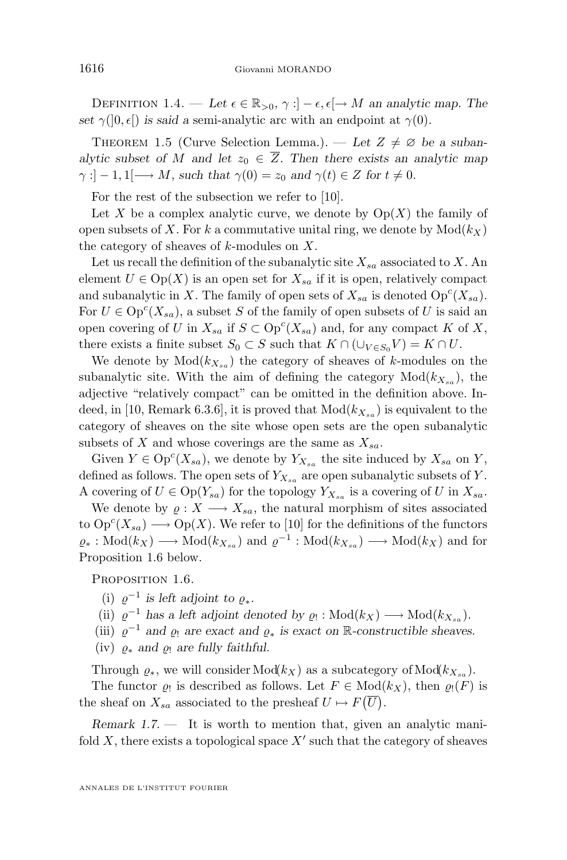DEFINITION 1.4. — Let  $\epsilon \in \mathbb{R}_{>0}$ ,  $\gamma : ]-\epsilon, \epsilon[ \rightarrow M$  an analytic map. The *set*  $\gamma([0, \epsilon])$  *is said a* semi-analytic arc with an endpoint at  $\gamma(0)$ *.* 

THEOREM 1.5 (Curve Selection Lemma.). — Let  $Z \neq \emptyset$  be a suban*alytic subset of* M *and let*  $z_0 \in \overline{Z}$ . Then there exists an analytic map  $\gamma$ :  $]-1,1[\longrightarrow M, \text{ such that } \gamma(0) = z_0 \text{ and } \gamma(t) \in Z \text{ for } t \neq 0.$ 

For the rest of the subsection we refer to [\[10\]](#page-28-0).

Let X be a complex analytic curve, we denote by  $Op(X)$  the family of open subsets of X. For k a commutative unital ring, we denote by  $Mod(k<sub>X</sub>)$ the category of sheaves of  $k$ -modules on  $X$ .

Let us recall the definition of the subanalytic site  $X_{sa}$  associated to X. An element  $U \in \text{Op}(X)$  is an open set for  $X_{sa}$  if it is open, relatively compact and subanalytic in X. The family of open sets of  $X_{sa}$  is denoted  $Op<sup>c</sup>(X_{sa})$ . For  $U \in \text{Op}^c(X_{sa})$ , a subset S of the family of open subsets of U is said an open covering of U in  $X_{sa}$  if  $S \subset \mathrm{Op}^c(X_{sa})$  and, for any compact K of X, there exists a finite subset  $S_0 \subset S$  such that  $K \cap (\cup_{V \in S_0} V) = K \cap U$ .

We denote by  $Mod(k_{X_{sa}})$  the category of sheaves of k-modules on the subanalytic site. With the aim of defining the category  $Mod(k_{X_{sa}})$ , the adjective "relatively compact" can be omitted in the definition above. In-deed, in [\[10,](#page-28-0) Remark 6.3.6], it is proved that  $Mod(k_{X_{sa}})$  is equivalent to the category of sheaves on the site whose open sets are the open subanalytic subsets of X and whose coverings are the same as  $X_{sa}$ .

Given  $Y \in \text{Op}^c(X_{sa})$ , we denote by  $Y_{X_{sa}}$  the site induced by  $X_{sa}$  on Y, defined as follows. The open sets of  $Y_{X_{sa}}$  are open subanalytic subsets of Y. A covering of  $U \in \text{Op}(Y_{sa})$  for the topology  $Y_{X_{sa}}$  is a covering of U in  $X_{sa}$ .

We denote by  $\rho: X \longrightarrow X_{sa}$ , the natural morphism of sites associated to  $\mathrm{Op}^c(X_{sa}) \longrightarrow \mathrm{Op}(X)$ . We refer to [\[10\]](#page-28-0) for the definitions of the functors  $\varrho_*: Mod(k_X) \longrightarrow Mod(k_{X_{sa}})$  and  $\varrho^{-1}: Mod(k_{X_{sa}}) \longrightarrow Mod(k_X)$  and for Proposition 1.6 below.

PROPOSITION 1.6.

(i)  $\varrho^{-1}$  is left adjoint to  $\varrho_*$ .

(ii)  $\varrho^{-1}$  has a left adjoint denoted by  $\varrho_! : Mod(k_X) \longrightarrow Mod(k_{X_{sa}})$ .

(iii)  $\varrho^{-1}$  and  $\varrho_1$  are exact and  $\varrho_*$  is exact on R-constructible sheaves.

(iv)  $\rho_*$  *and*  $\rho_!$  *are fully faithful.* 

Through  $\varrho_*$ , we will consider Mod $(k_X)$  as a subcategory of Mod $(k_{X_{sa}})$ .

The functor  $\varrho_!$  is described as follows. Let  $F \in Mod(k_X)$ , then  $\varrho_! (F)$  is the sheaf on  $X_{sa}$  associated to the presheaf  $U \mapsto F(\overline{U})$ .

*Remark 1.7.* — It is worth to mention that, given an analytic manifold  $X$ , there exists a topological space  $X'$  such that the category of sheaves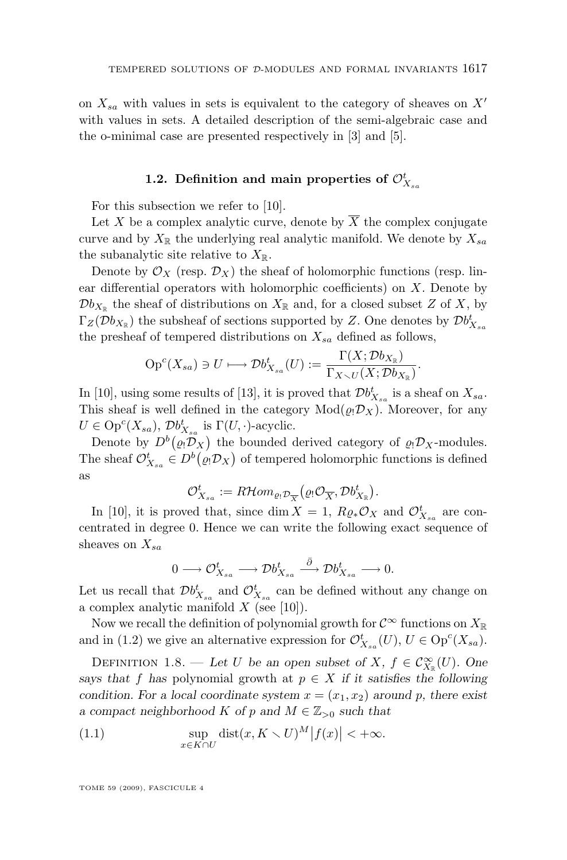<span id="page-7-0"></span>on  $X_{sa}$  with values in sets is equivalent to the category of sheaves on  $X'$ with values in sets. A detailed description of the semi-algebraic case and the o-minimal case are presented respectively in [\[3\]](#page-28-0) and [\[5\]](#page-28-0).

## 1.2. Definition and main properties of  $\mathcal{O}_{X_{sa}}^t$

For this subsection we refer to [\[10\]](#page-28-0).

Let X be a complex analytic curve, denote by  $\overline{X}$  the complex conjugate curve and by  $X_{\mathbb{R}}$  the underlying real analytic manifold. We denote by  $X_{sa}$ the subanalytic site relative to  $X_{\mathbb{R}}$ .

Denote by  $\mathcal{O}_X$  (resp.  $\mathcal{D}_X$ ) the sheaf of holomorphic functions (resp. linear differential operators with holomorphic coefficients) on  $X$ . Denote by  $\mathcal{D}b_{X_{\mathbb{R}}}$  the sheaf of distributions on  $X_{\mathbb{R}}$  and, for a closed subset Z of X, by  $\Gamma_Z(\mathcal{D}b_{X_\mathbb{R}})$  the subsheaf of sections supported by Z. One denotes by  $\mathcal{D}b_{X_{sa}}^t$ the presheaf of tempered distributions on  $X_{sa}$  defined as follows,

$$
\mathrm{Op}^c(X_{sa}) \ni U \longmapsto \mathcal{D}b_{X_{sa}}^t(U) := \frac{\Gamma(X; \mathcal{D}b_{X_{\mathbb{R}}})}{\Gamma_{X \setminus U}(X; \mathcal{D}b_{X_{\mathbb{R}}})}.
$$

In [\[10\]](#page-28-0), using some results of [\[13\]](#page-29-0), it is proved that  $\mathcal{D}b_{X_{sa}}^t$  is a sheaf on  $X_{sa}$ . This sheaf is well defined in the category  $Mod(\rho_! \mathcal{D}_X)$ . Moreover, for any  $U \in \text{Op}^c(X_{sa}), \mathcal{D}b_{X_{sa}}^t$  is  $\Gamma(U, \cdot)$ -acyclic.

Denote by  $D^b(\varrho_!\mathcal{D}_X)$  the bounded derived category of  $\varrho_!\mathcal{D}_X$ -modules. The sheaf  $\mathcal{O}_{X_{sa}}^t \in D^b(\varrho_!\mathcal{D}_X)$  of tempered holomorphic functions is defined as

$$
\mathcal{O}_{X_{sa}}^t := R\mathcal{H}om_{\varrho_!\mathcal{D}_{\overline{X}}}(\varrho_!\mathcal{O}_{\overline{X}}, \mathcal{D}b_{X_{\mathbb{R}}}^t).
$$

In [\[10\]](#page-28-0), it is proved that, since dim  $X = 1$ ,  $R_{\mathcal{Q}*}\mathcal{O}_X$  and  $\mathcal{O}_{X_{sa}}^t$  are concentrated in degree 0. Hence we can write the following exact sequence of sheaves on  $X_{sa}$ 

$$
0 \longrightarrow \mathcal{O}_{X_{sa}}^t \longrightarrow \mathcal{D}b_{X_{sa}}^t \stackrel{\bar{\partial}}{\longrightarrow} \mathcal{D}b_{X_{sa}}^t \longrightarrow 0.
$$

Let us recall that  $\mathcal{D}b_{X_{sa}}^t$  and  $\mathcal{O}_{X_{sa}}^t$  can be defined without any change on a complex analytic manifold  $X$  (see [\[10\]](#page-28-0)).

Now we recall the definition of polynomial growth for  $\mathcal{C}^{\infty}$  functions on  $X_{\mathbb{R}}$ and in [\(1.2\)](#page-8-0) we give an alternative expression for  $\mathcal{O}_{X_{sa}}^t(U)$ ,  $U \in \text{Op}^c(X_{sa})$ .

DEFINITION 1.8. — Let U be an open subset of X,  $f \in \mathcal{C}^{\infty}_{X_{\mathbb{R}}}(U)$ . One *says that* f has polynomial growth at  $p \in X$  *if it satisfies the following condition. For a local coordinate system*  $x = (x_1, x_2)$  *around* p, there exist *a* compact neighborhood K of p and  $M \in \mathbb{Z}_{\geq 0}$  such that

(1.1) 
$$
\sup_{x \in K \cap U} \text{dist}(x, K \setminus U)^M |f(x)| < +\infty.
$$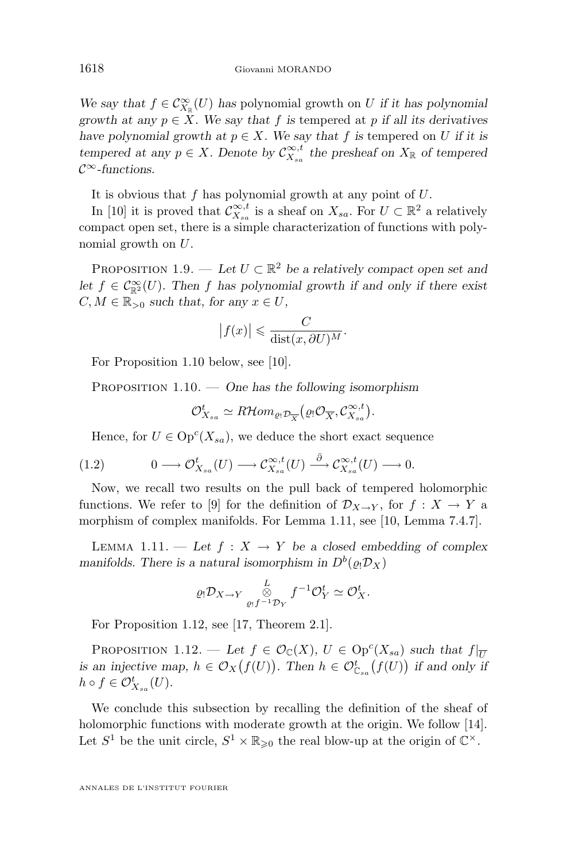<span id="page-8-0"></span>We say that  $f \in C^{\infty}_{X_{\mathbb{R}}}(U)$  has polynomial growth on U *if it has polynomial growth at any*  $p \in X$ *. We say that* f *is* tempered at p *if all its derivatives have polynomial growth at*  $p \in X$ *. We say that* f *is* tempered on U *if it is tempered at any*  $p \in X$ . Denote by  $C_{X_{sa}}^{\infty,t}$  the presheaf on  $X_{\mathbb{R}}$  of tempered C<sup>∞</sup>*-functions.*

It is obvious that f has polynomial growth at any point of U.

In [\[10\]](#page-28-0) it is proved that  $\mathcal{C}_{X_{sa}}^{\infty,t}$  is a sheaf on  $X_{sa}$ . For  $U \subset \mathbb{R}^2$  a relatively compact open set, there is a simple characterization of functions with polynomial growth on U.

PROPOSITION 1.9. — Let  $U \subset \mathbb{R}^2$  be a relatively compact open set and *let*  $f \in C^{\infty}_{\mathbb{R}^2}(U)$ *. Then* f has polynomial growth if and only if there exist  $C, M \in \mathbb{R}_{>0}$  *such that, for any*  $x \in U$ ,

$$
|f(x)| \leqslant \frac{C}{\text{dist}(x, \partial U)^M}.
$$

For Proposition 1.10 below, see [\[10\]](#page-28-0).

PROPOSITION 1.10. — One has the following isomorphism

$$
\mathcal{O}_{X_{sa}}^t \simeq R\mathcal{H}om_{\varrho_!\mathcal{D}_{\overline{X}}}(\varrho_!\mathcal{O}_{\overline{X}}, \mathcal{C}_{X_{sa}}^{\infty,t}).
$$

Hence, for  $U \in \text{Op}^c(X_{sa})$ , we deduce the short exact sequence

$$
(1.2) \t 0 \longrightarrow \mathcal{O}_{X_{sa}}^t(U) \longrightarrow \mathcal{C}_{X_{sa}}^{\infty,t}(U) \stackrel{\bar{\partial}}{\longrightarrow} \mathcal{C}_{X_{sa}}^{\infty,t}(U) \longrightarrow 0.
$$

Now, we recall two results on the pull back of tempered holomorphic functions. We refer to [\[9\]](#page-28-0) for the definition of  $\mathcal{D}_{X\to Y}$ , for  $f: X \to Y$  a morphism of complex manifolds. For Lemma 1.11, see [\[10,](#page-28-0) Lemma 7.4.7].

LEMMA 1.11. — Let  $f: X \to Y$  be a closed embedding of complex *manifolds. There is a natural isomorphism in*  $D^b(\varrho_!\mathcal{D}_X)$ 

$$
\varrho_! \mathcal{D}_{X \to Y} \underset{\varrho_! f^{-1} \mathcal{D}_Y}{\overset{L}{\otimes}} f^{-1} \mathcal{O}_Y^t \simeq \mathcal{O}_X^t.
$$

For Proposition 1.12, see [\[17,](#page-29-0) Theorem 2.1].

PROPOSITION 1.12. — Let  $f \in \mathcal{O}_{\mathbb{C}}(X), U \in \text{Op}^{c}(X_{sa})$  such that  $f|_{\overline{U}}$ *is an injective map,*  $h \in \mathcal{O}_X(f(U))$ . Then  $h \in \mathcal{O}_{\mathbb{C}_{sa}}^t(f(U))$  *if and only if*  $h \circ f \in \mathcal{O}_{X_{sa}}^t(U).$ 

We conclude this subsection by recalling the definition of the sheaf of holomorphic functions with moderate growth at the origin. We follow [\[14\]](#page-29-0). Let  $S^1$  be the unit circle,  $S^1 \times \mathbb{R}_{\geqslant 0}$  the real blow-up at the origin of  $\mathbb{C}^{\times}$ .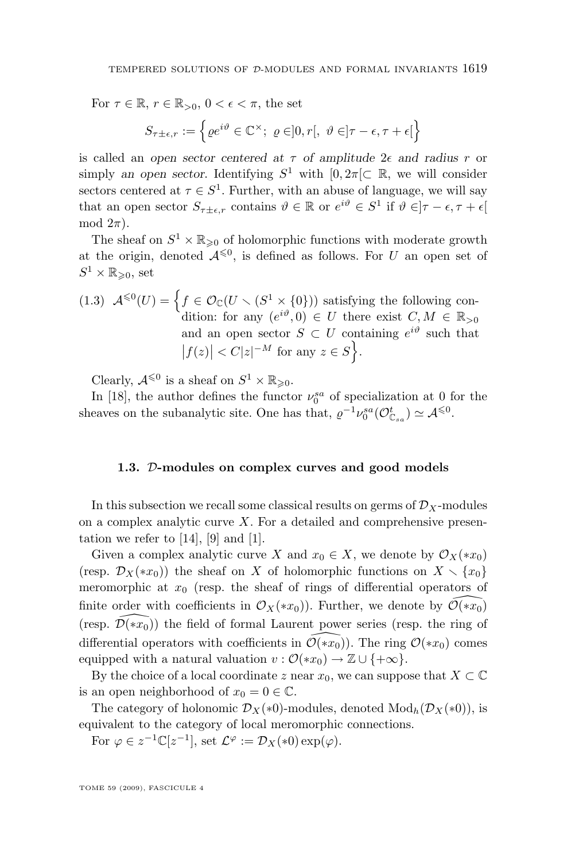<span id="page-9-0"></span>For  $\tau \in \mathbb{R}$ ,  $r \in \mathbb{R}_{>0}$ ,  $0 < \epsilon < \pi$ , the set

$$
S_{\tau \pm \epsilon, r} := \left\{ \varrho e^{i\vartheta} \in \mathbb{C}^{\times}; \ \varrho \in ]0, r[, \ \vartheta \in ]\tau - \epsilon, \tau + \epsilon[ \right\}
$$

is called an *open sector centered at*  $\tau$  *of amplitude*  $2\epsilon$  *and radius*  $r$  *or* simply an open sector. Identifying  $S^1$  with  $[0, 2\pi] \subset \mathbb{R}$ , we will consider sectors centered at  $\tau \in S^1$ . Further, with an abuse of language, we will say that an open sector  $S_{\tau \pm \epsilon,r}$  contains  $\vartheta \in \mathbb{R}$  or  $e^{i\vartheta} \in S^1$  if  $\vartheta \in ]\tau - \epsilon, \tau + \epsilon[$ mod  $2\pi$ ).

The sheaf on  $S^1 \times \mathbb{R}_{\geqslant 0}$  of holomorphic functions with moderate growth at the origin, denoted  $\mathcal{A}^{\leq 0}$ , is defined as follows. For U an open set of  $S^1 \times \mathbb{R}_{\geqslant 0}$ , set

(1.3) 
$$
\mathcal{A}^{\leq 0}(U) = \left\{ f \in \mathcal{O}_{\mathbb{C}}(U \setminus (S^1 \times \{0\})) \text{ satisfying the following condition: for any } (e^{i\vartheta}, 0) \in U \text{ there exist } C, M \in \mathbb{R}_{>0} \text{ and an open sector } S \subset U \text{ containing } e^{i\vartheta} \text{ such that } |f(z)| < C|z|^{-M} \text{ for any } z \in S \right\}.
$$

Clearly,  $\mathcal{A}^{\leq 0}$  is a sheaf on  $S^1 \times \mathbb{R}_{\geq 0}$ .

In [\[18\]](#page-29-0), the author defines the functor  $\nu_0^{sa}$  of specialization at 0 for the sheaves on the subanalytic site. One has that,  $\varrho^{-1} \nu_0^{sa}(\mathcal{O}_{\mathbb{C}_{sa}}^t) \simeq \mathcal{A}^{\leq 0}$ .

## **1.3.** D**-modules on complex curves and good models**

In this subsection we recall some classical results on germs of  $\mathcal{D}_X$ -modules on a complex analytic curve  $X$ . For a detailed and comprehensive presentation we refer to  $[14]$ ,  $[9]$  and  $[1]$ .

Given a complex analytic curve X and  $x_0 \in X$ , we denote by  $\mathcal{O}_X(*x_0)$ (resp.  $\mathcal{D}_X(*x_0)$ ) the sheaf on X of holomorphic functions on  $X \setminus \{x_0\}$ meromorphic at  $x_0$  (resp. the sheaf of rings of differential operators of finite order with coefficients in  $\mathcal{O}_X(*x_0)$ ). Further, we denote by  $\mathcal{O}(*x_0)$ (resp.  $\mathcal{D}(*x_0)$ ) the field of formal Laurent power series (resp. the ring of differential operators with coefficients in  $\mathcal{O}(*x_0)$ . The ring  $\mathcal{O}(*x_0)$  comes equipped with a natural valuation  $v : \mathcal{O}(*x_0) \to \mathbb{Z} \cup \{+\infty\}.$ 

By the choice of a local coordinate z near  $x_0$ , we can suppose that  $X \subset \mathbb{C}$ is an open neighborhood of  $x_0 = 0 \in \mathbb{C}$ .

The category of holonomic  $\mathcal{D}_X(*0)$ -modules, denoted  $\text{Mod}_h(\mathcal{D}_X(*0))$ , is equivalent to the category of local meromorphic connections.

For  $\varphi \in z^{-1} \mathbb{C}[z^{-1}],$  set  $\mathcal{L}^{\varphi} := \mathcal{D}_X(*0) \exp(\varphi)$ .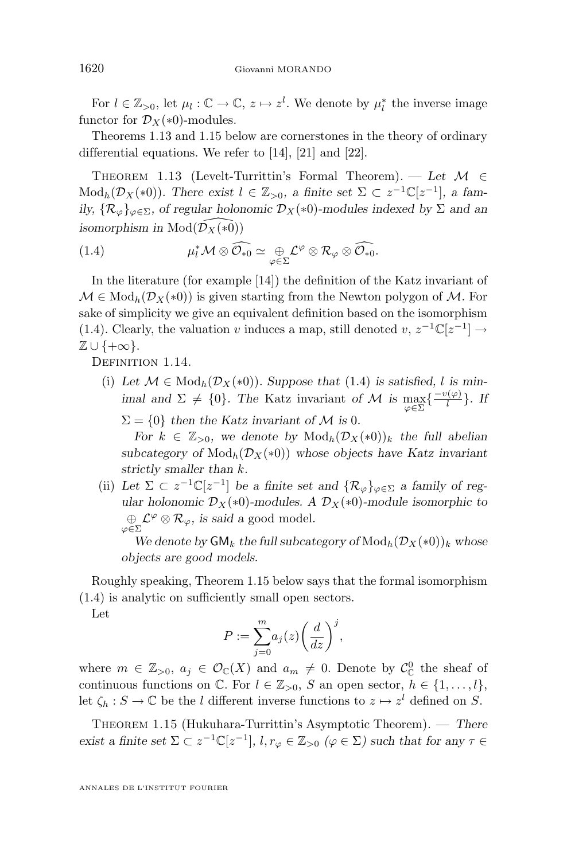<span id="page-10-0"></span>For  $l \in \mathbb{Z}_{>0}$ , let  $\mu_l : \mathbb{C} \to \mathbb{C}$ ,  $z \mapsto z^l$ . We denote by  $\mu_l^*$  the inverse image functor for  $\mathcal{D}_X(*0)$ -modules.

Theorems 1.13 and 1.15 below are cornerstones in the theory of ordinary differential equations. We refer to [\[14\]](#page-29-0), [\[21\]](#page-29-0) and [\[22\]](#page-29-0).

THEOREM 1.13 (Levelt-Turrittin's Formal Theorem). — Let  $\mathcal{M} \in$ Mod<sub>h</sub>( $\mathcal{D}_X(*0)$ )*.* There exist  $l \in \mathbb{Z}_{>0}$ , a finite set  $\Sigma \subset z^{-1}\mathbb{C}[z^{-1}]$ , a fam*ily,*  $\{\mathcal{R}_{\varphi}\}_{{\varphi}\in\Sigma}$ , of regular holonomic  $\mathcal{D}_X(*0)$ -modules indexed by  $\Sigma$  and an *isomorphism in* Mod $(\overline{\mathcal{D}}_X(*\overline{0}))$ 

(1.4) 
$$
\mu_l^* \mathcal{M} \otimes \widehat{\mathcal{O}_{*0}} \simeq \bigoplus_{\varphi \in \Sigma} \mathcal{L}^{\varphi} \otimes \mathcal{R}_{\varphi} \otimes \widehat{\mathcal{O}_{*0}}.
$$

In the literature (for example [\[14\]](#page-29-0)) the definition of the Katz invariant of  $\mathcal{M} \in \text{Mod}_h(\mathcal{D}_X(*0))$  is given starting from the Newton polygon of  $\mathcal{M}$ . For sake of simplicity we give an equivalent definition based on the isomorphism (1.4). Clearly, the valuation v induces a map, still denoted v,  $z^{-1}\mathbb{C}[z^{-1}] \rightarrow$  $\mathbb{Z} \cup \{+\infty\}.$ 

DEFINITION 1.14.

- (i) Let  $\mathcal{M} \in \text{Mod}_h(\mathcal{D}_X(*0))$ . Suppose that (1.4) is satisfied, l is min*imal and*  $\Sigma \neq \{0\}$ *. The* Katz invariant *of* M *is*  $\max_{\varphi \in \Sigma} \{\frac{-v(\varphi)}{l}\}$  $\frac{\partial \overline{\varphi}}{\partial}$ . *If* 
	- $\Sigma = \{0\}$  then the Katz invariant of M is 0.

*For*  $k \in \mathbb{Z}_{>0}$ , we denote by  $\text{Mod}_h(\mathcal{D}_X(*0))_k$  the full abelian  $subcategory of Mod<sub>h</sub>(\mathcal{D}<sub>X</sub>(*0))$  whose objects have Katz invariant *strictly smaller than* k*.*

(ii) Let  $\Sigma \subset z^{-1}\mathbb{C}[z^{-1}]$  be a finite set and  $\{\mathcal{R}_{\varphi}\}_{\varphi \in \Sigma}$  a family of reg*ular holonomic*  $\mathcal{D}_X(*0)$ -modules. A  $\mathcal{D}_X(*0)$ -module isomorphic to  $\bigoplus_{\varphi \in \Sigma} \mathcal{L}^{\varphi} \otimes \mathcal{R}_{\varphi}$ , is said a good model.

*We denote by*  $\mathsf{GM}_k$  *the full subcategory of*  $\text{Mod}_h(\mathcal{D}_X(*0))_k$  *whose objects are good models.*

Roughly speaking, Theorem 1.15 below says that the formal isomorphism (1.4) is analytic on sufficiently small open sectors.

Let

$$
P := \sum_{j=0}^{m} a_j(z) \bigg(\frac{d}{dz}\bigg)^j,
$$

where  $m \in \mathbb{Z}_{>0}$ ,  $a_j \in \mathcal{O}_{\mathbb{C}}(X)$  and  $a_m \neq 0$ . Denote by  $\mathcal{C}_{\mathbb{C}}^0$  the sheaf of continuous functions on  $\mathbb{C}$ . For  $l \in \mathbb{Z}_{>0}$ , S an open sector,  $h \in \{1, \ldots, l\}$ , let  $\zeta_h : S \to \mathbb{C}$  be the l different inverse functions to  $z \mapsto z^l$  defined on S.

Theorem 1.15 (Hukuhara-Turrittin's Asymptotic Theorem). — *There exist a finite set*  $\Sigma \subset z^{-1} \mathbb{C}[z^{-1}]$ ,  $l, r_{\varphi} \in \mathbb{Z}_{>0}$  ( $\varphi \in \Sigma$ ) such that for any  $\tau \in$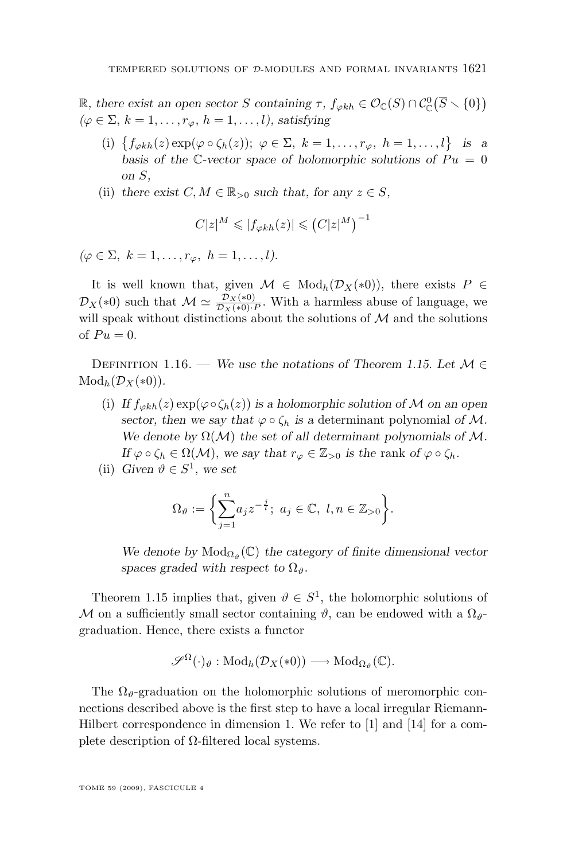<span id="page-11-0"></span>R, there exist an open sector S containing  $\tau$ ,  $f_{\varphi kh} \in \mathcal{O}_{\mathbb{C}}(S) \cap C_{\mathbb{C}}^0(\overline{S} \setminus \{0\})$  $(\varphi \in \Sigma, k = 1, \ldots, r_{\varphi}, h = 1, \ldots, l)$ , satisfying

- (i)  $\{f_{\varphi kh}(z) \exp(\varphi \circ \zeta_h(z)); \varphi \in \Sigma, k = 1, \ldots, r_{\varphi}, h = 1, \ldots, l\}$  is a basis of the C-vector space of holomorphic solutions of  $Pu = 0$ *on* S*,*
- (ii) there exist  $C, M \in \mathbb{R}_{>0}$  such that, for any  $z \in S$ ,

$$
C|z|^M\leqslant |f_{\varphi kh}(z)|\leqslant \left(C|z|^M\right)^{-1}
$$

 $(\varphi \in \Sigma, k = 1, \ldots, r_{\varphi}, h = 1, \ldots, l).$ 

It is well known that, given  $\mathcal{M} \in Mod_h(\mathcal{D}_X(*0))$ , there exists  $P \in$  $\mathcal{D}_X(*0)$  such that  $\mathcal{M} \simeq \frac{\mathcal{D}_X(*0)}{\mathcal{D}_X(*0)\cdot P}$ . With a harmless abuse of language, we will speak without distinctions about the solutions of  ${\mathcal M}$  and the solutions of  $Pu = 0$ .

DEFINITION 1.16. — *We use the notations of Theorem [1.15.](#page-10-0)* Let  $M \in$  $Mod_h(\mathcal{D}_X(*0))$ .

- (i) *If*  $f_{\varphi kh}(z) \exp(\varphi \circ \zeta_h(z))$  *is a holomorphic solution of* M *on an open sector, then we say that*  $\varphi \circ \zeta_h$  *is a determinant polynomial of* M. We denote by  $\Omega(\mathcal{M})$  the set of all determinant polynomials of  $\mathcal{M}$ . *If*  $\varphi \circ \zeta_h \in \Omega(\mathcal{M})$ *, we say that*  $r_{\varphi} \in \mathbb{Z}_{>0}$  *is the rank of*  $\varphi \circ \zeta_h$ *.*
- (ii) *Given*  $\vartheta \in S^1$ *, we set*

$$
\Omega_{\vartheta} := \bigg\{ \sum_{j=1}^n a_j z^{-\frac{j}{l}}; \ a_j \in \mathbb{C}, \ l, n \in \mathbb{Z}_{>0} \bigg\}.
$$

We denote by  $\text{Mod}_{\Omega_{\vartheta}}(\mathbb{C})$  the category of finite dimensional vector *spaces graded with respect to*  $\Omega_{\vartheta}$ *.* 

Theorem [1.15](#page-10-0) implies that, given  $\vartheta \in S^1$ , the holomorphic solutions of M on a sufficiently small sector containing  $\vartheta$ , can be endowed with a  $\Omega_{\vartheta}$ graduation. Hence, there exists a functor

$$
\mathscr{S}^{\Omega}(\cdot)_{\vartheta} : \mathrm{Mod}_h(\mathcal{D}_X(*0)) \longrightarrow \mathrm{Mod}_{\Omega_{\vartheta}}(\mathbb{C}).
$$

The  $\Omega_{\theta}$ -graduation on the holomorphic solutions of meromorphic connections described above is the first step to have a local irregular Riemann-Hilbert correspondence in dimension 1. We refer to [\[1\]](#page-28-0) and [\[14\]](#page-29-0) for a complete description of  $Ω$ -filtered local systems.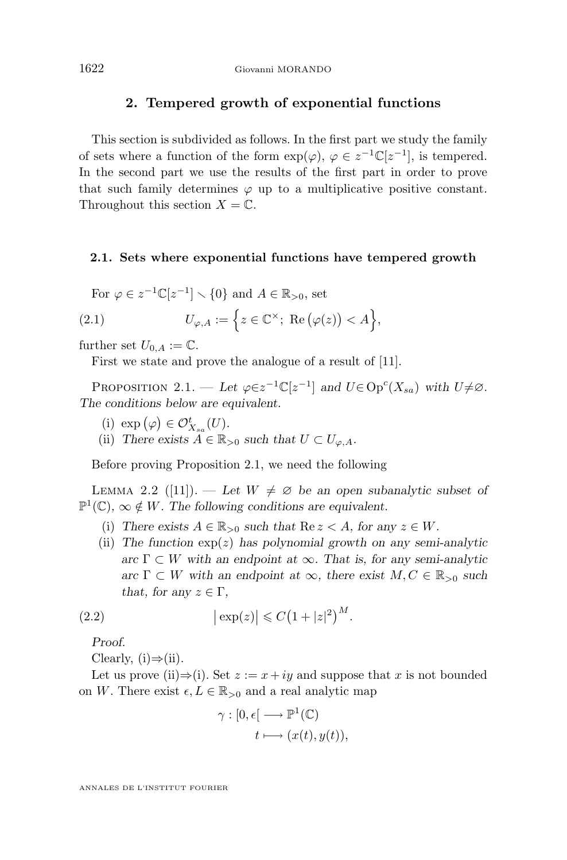## **2. Tempered growth of exponential functions**

<span id="page-12-0"></span>This section is subdivided as follows. In the first part we study the family of sets where a function of the form  $\exp(\varphi)$ ,  $\varphi \in z^{-1} \mathbb{C}[z^{-1}]$ , is tempered. In the second part we use the results of the first part in order to prove that such family determines  $\varphi$  up to a multiplicative positive constant. Throughout this section  $X = \mathbb{C}$ .

#### **2.1. Sets where exponential functions have tempered growth**

For  $\varphi \in z^{-1} \mathbb{C}[z^{-1}] \setminus \{0\}$  and  $A \in \mathbb{R}_{>0}$ , set

(2.1) 
$$
U_{\varphi,A} := \left\{ z \in \mathbb{C}^{\times}; \ \operatorname{Re}(\varphi(z)) < A \right\},
$$

further set  $U_{0,A} := \mathbb{C}.$ 

First we state and prove the analogue of a result of [\[11\]](#page-28-0).

PROPOSITION 2.1. — Let  $\varphi \in z^{-1} \mathbb{C}[z^{-1}]$  and  $U \in \text{Op}^c(X_{sa})$  with  $U \neq \emptyset$ . *The conditions below are equivalent.*

- (i)  $\exp\left(\varphi\right) \in \mathcal{O}_{X_{sa}}^{t}(U)$ .
- (ii) *There exists*  $A \in \mathbb{R}_{>0}$  *such that*  $U \subset U_{\varphi,A}$ *.*

Before proving Proposition 2.1, we need the following

LEMMA 2.2 ([\[11\]](#page-28-0)). — Let  $W \neq \emptyset$  be an open subanalytic subset of  $\mathbb{P}^1(\mathbb{C})$ ,  $\infty \notin W$ . The following conditions are equivalent.

- (i) There exists  $A \in \mathbb{R}_{>0}$  such that  $\text{Re } z < A$ , for any  $z \in W$ .
- (ii) *The function* exp(z) *has polynomial growth on any semi-analytic*  $\text{arc }\Gamma \subset W$  with an endpoint at  $\infty$ . That is, for any semi-analytic  $\text{arc }\Gamma \subset W$  with an endpoint at  $\infty$ , there exist  $M, C \in \mathbb{R}_{\geq 0}$  such *that, for any*  $z \in \Gamma$ *,*

(2.2) 
$$
\left|\exp(z)\right| \leqslant C\left(1+|z|^2\right)^M.
$$

*Proof.*

Clearly,  $(i) \Rightarrow (ii)$ .

Let us prove (ii) $\Rightarrow$ (i). Set  $z := x + iy$  and suppose that x is not bounded on W. There exist  $\epsilon, L \in \mathbb{R}_{>0}$  and a real analytic map

$$
\gamma : [0, \epsilon] \longrightarrow \mathbb{P}^1(\mathbb{C})
$$

$$
t \longmapsto (x(t), y(t)),
$$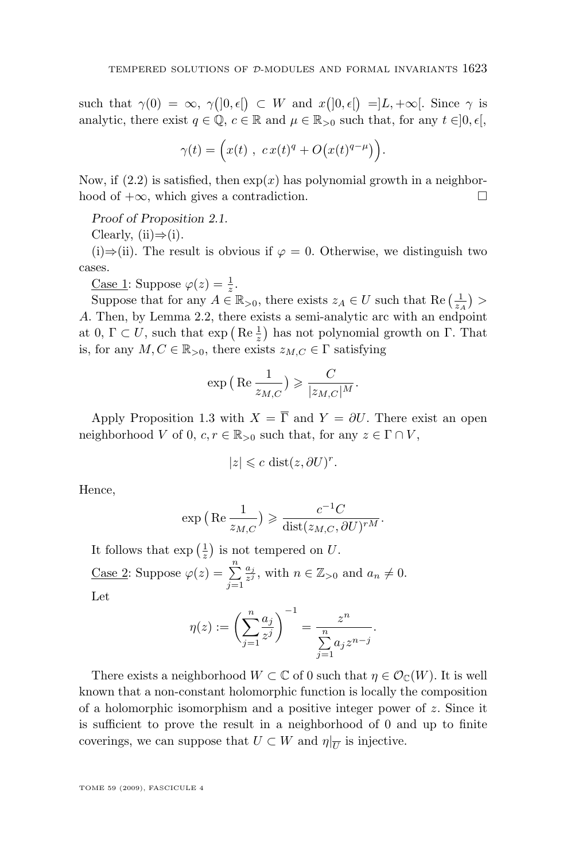such that  $\gamma(0) = \infty$ ,  $\gamma(]0, \epsilon[$   $\subset W$  and  $x(]0, \epsilon[$   $\supseteq]L, +\infty[$ . Since  $\gamma$  is analytic, there exist  $q \in \mathbb{Q}$ ,  $c \in \mathbb{R}$  and  $\mu \in \mathbb{R}_{>0}$  such that, for any  $t \in ]0, \epsilon[$ ,

$$
\gamma(t) = \Big(x(t) , c x(t)^q + O\big(x(t)^{q-\mu}\big)\Big).
$$

Now, if  $(2.2)$  is satisfied, then  $exp(x)$  has polynomial growth in a neighborhood of  $+\infty$ , which gives a contradiction.

*Proof of Proposition [2.1.](#page-12-0)*

Clearly,  $(ii) \Rightarrow (i)$ .

(i)⇒(ii). The result is obvious if  $\varphi = 0$ . Otherwise, we distinguish two cases.

<u>Case 1</u>: Suppose  $\varphi(z) = \frac{1}{z}$ .

Suppose that for any  $A \in \mathbb{R}_{>0}$ , there exists  $z_A \in U$  such that  $\text{Re}\left(\frac{1}{z_A}\right)$ A. Then, by Lemma [2.2,](#page-12-0) there exists a semi-analytic arc with an endpoint at 0,  $\Gamma \subset U$ , such that  $\exp\left(\text{Re}\frac{1}{z}\right)$  has not polynomial growth on  $\Gamma$ . That is, for any  $M, C \in \mathbb{R}_{>0}$ , there exists  $z_{M,C} \in \Gamma$  satisfying

$$
\exp\left(\operatorname{Re}\frac{1}{z_{M,C}}\right) \geqslant \frac{C}{|z_{M,C}|^M}.
$$

Apply Proposition [1.3](#page-5-0) with  $X = \overline{\Gamma}$  and  $Y = \partial U$ . There exist an open neighborhood V of 0,  $c, r \in \mathbb{R}_{>0}$  such that, for any  $z \in \Gamma \cap V$ ,

$$
|z| \leqslant c \, \operatorname{dist}(z, \partial U)^r.
$$

Hence,

$$
\exp\left(\text{Re}\,\frac{1}{z_{M,C}}\right) \geqslant \frac{c^{-1}C}{\text{dist}(z_{M,C}, \partial U)^{rM}}.
$$

It follows that  $\exp\left(\frac{1}{z}\right)$  is not tempered on U. Case 2: Suppose  $\varphi(z) = \sum_{n=1}^{\infty}$  $j=1$  $\frac{a_j}{z^j}$ , with  $n \in \mathbb{Z}_{>0}$  and  $a_n \neq 0$ . Let

$$
\eta(z):=\left(\sum_{j=1}^n \frac{a_j}{z^j}\right)^{-1}=\frac{z^n}{\sum\limits_{j=1}^n a_j z^{n-j}}.
$$

There exists a neighborhood  $W \subset \mathbb{C}$  of 0 such that  $\eta \in \mathcal{O}_{\mathbb{C}}(W)$ . It is well known that a non-constant holomorphic function is locally the composition of a holomorphic isomorphism and a positive integer power of  $z$ . Since it is sufficient to prove the result in a neighborhood of 0 and up to finite coverings, we can suppose that  $U \subset W$  and  $\eta|_{\overline{U}}$  is injective.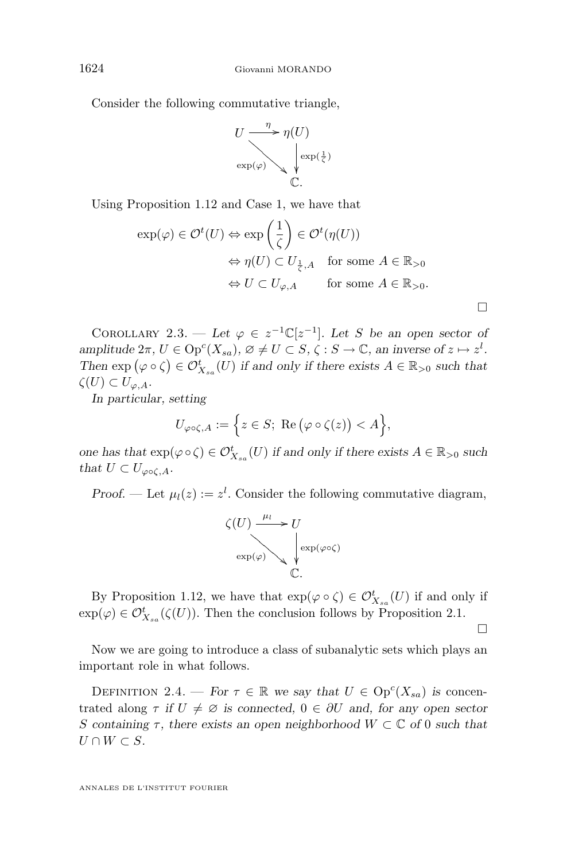<span id="page-14-0"></span>Consider the following commutative triangle,

$$
U \xrightarrow{\eta} \eta(U)
$$
  
\n
$$
\exp(\varphi) \searrow \sqrt{\exp(\frac{1}{\zeta})}
$$
  
\n
$$
\mathbb{C}.
$$

Using Proposition [1.12](#page-8-0) and Case 1, we have that

$$
\exp(\varphi) \in \mathcal{O}^t(U) \Leftrightarrow \exp\left(\frac{1}{\zeta}\right) \in \mathcal{O}^t(\eta(U))
$$
  
\n
$$
\Leftrightarrow \eta(U) \subset U_{\frac{1}{\zeta},A} \quad \text{for some } A \in \mathbb{R}_{>0}
$$
  
\n
$$
\Leftrightarrow U \subset U_{\varphi,A} \qquad \text{for some } A \in \mathbb{R}_{>0}.
$$

COROLLARY 2.3. — Let  $\varphi \in z^{-1}\mathbb{C}[z^{-1}]$ . Let S be an open sector of  $\alpha$ *amplitude*  $2\pi$ ,  $U \in \text{Op}^c(X_{sa})$ ,  $\varnothing \neq U \subset S$ ,  $\zeta : S \to \mathbb{C}$ , an inverse of  $z \mapsto z^l$ . Then  $\exp(\varphi \circ \zeta) \in \mathcal{O}_{X_{sa}}^t(U)$  *if and only if there exists*  $A \in \mathbb{R}_{>0}$  *such that*  $\zeta(U) \subset U_{\varphi,A}.$ 

*In particular, setting*

$$
U_{\varphi\circ\zeta,A}:=\Big\{z\in S;\,\,\text{Re}\,\big(\varphi\circ\zeta(z)\big)
$$

*one has that*  $\exp(\varphi \circ \zeta) \in \mathcal{O}_{X_{sa}}^t(U)$  *if and only if there exists*  $A \in \mathbb{R}_{>0}$  *such that*  $U \subset U_{\varphi \circ \zeta, A}$ .

*Proof.* — Let  $\mu_l(z) := z^l$ . Consider the following commutative diagram,



By Proposition [1.12,](#page-8-0) we have that  $\exp(\varphi \circ \zeta) \in \mathcal{O}_{X_{sa}}^{\mathfrak{t}}(U)$  if and only if  $\exp(\varphi) \in \mathcal{O}_{X_{sa}}^{t}(\zeta(U))$ . Then the conclusion follows by Proposition [2.1.](#page-12-0)

 $\Box$ 

Now we are going to introduce a class of subanalytic sets which plays an important role in what follows.

DEFINITION 2.4. — *For*  $\tau \in \mathbb{R}$  *we say that*  $U \in \text{Op}^c(X_{sa})$  *is* concentrated along  $\tau$  *if*  $U \neq \emptyset$  *is connected,*  $0 \in \partial U$  *and, for any open sector* S containing  $\tau$ , there exists an open neighborhood  $W \subset \mathbb{C}$  of 0 such that  $U \cap W \subset S$ .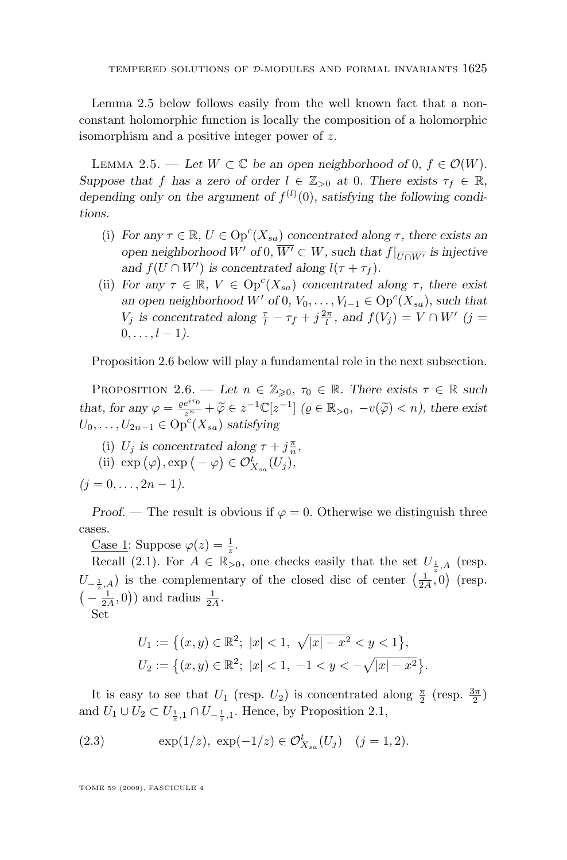<span id="page-15-0"></span>Lemma 2.5 below follows easily from the well known fact that a nonconstant holomorphic function is locally the composition of a holomorphic isomorphism and a positive integer power of z.

LEMMA 2.5. — Let  $W \subset \mathbb{C}$  be an open neighborhood of 0,  $f \in \mathcal{O}(W)$ . *Suppose that* f *has a zero of order*  $l \in \mathbb{Z}_{>0}$  *at* 0*. There exists*  $\tau_f \in \mathbb{R}$ *,* depending only on the argument of  $f^{(l)}(0)$ , satisfying the following condi*tions.*

- (i) *For any*  $\tau \in \mathbb{R}$ ,  $U \in \text{Op}^c(X_{sa})$  *concentrated along*  $\tau$ *, there exists an open neighborhood* W' *of* 0*,*  $\overline{W'} \subset W$ *, such that*  $f|_{\overline{U \cap W'}}$  *is injective and*  $f(U \cap W')$  *is concentrated along*  $l(\tau + \tau_f)$ *.*
- (ii) *For any*  $\tau \in \mathbb{R}$ ,  $V \in \text{Op}^c(X_{sa})$  *concentrated along*  $\tau$ *, there exist an open neighborhood*  $W'$  *of* 0*,*  $V_0, \ldots, V_{l-1} \in \text{Op}^c(X_{sa})$ *, such that*  $V_j$  is concentrated along  $\frac{\tau}{l} - \tau_f + j\frac{2\pi}{l}$ , and  $f(V_j) = V \cap W'$  (j =  $0, \ldots, l - 1$ .

Proposition 2.6 below will play a fundamental role in the next subsection.

PROPOSITION 2.6. — Let  $n \in \mathbb{Z}_{\geqslant 0}, \tau_0 \in \mathbb{R}$ . There exists  $\tau \in \mathbb{R}$  such *that, for any*  $\varphi = \frac{\varrho e^{i\tau_0}}{z^n} + \widetilde{\varphi} \in z^{-1}\mathbb{C}[z^{-1}]$   $(\varrho \in \mathbb{R}_{>0}, -v(\widetilde{\varphi}) < n)$ , there exist  $U_0, \ldots, U_{2n-1} \in \mathrm{Op}^c(X_{sa})$  *satisfying* 

(i)  $U_j$  *is concentrated along*  $\tau + j\frac{\pi}{n}$ ,

(ii) 
$$
\exp(\varphi)
$$
,  $\exp(-\varphi) \in \mathcal{O}_{X_{sa}}^t(U_j)$ ,

 $(i = 0, \ldots, 2n - 1).$ 

*Proof.* — The result is obvious if  $\varphi = 0$ . Otherwise we distinguish three cases.

<u>Case 1</u>: Suppose  $\varphi(z) = \frac{1}{z}$ .

Recall [\(2.1\)](#page-12-0). For  $A \in \mathbb{R}_{>0}$ , one checks easily that the set  $U_{\frac{1}{z},A}$  (resp.  $U_{-\frac{1}{z},A}$ ) is the complementary of the closed disc of center  $(\frac{1}{2A},0)$  (resp.  $\left(-\frac{1}{2A},0\right)$  and radius  $\frac{1}{2A}$ .

Set

$$
U_1 := \left\{ (x, y) \in \mathbb{R}^2; \ |x| < 1, \ \sqrt{|x| - x^2} < y < 1 \right\},
$$
\n
$$
U_2 := \left\{ (x, y) \in \mathbb{R}^2; \ |x| < 1, \ -1 < y < -\sqrt{|x| - x^2} \right\}.
$$

It is easy to see that  $U_1$  (resp.  $U_2$ ) is concentrated along  $\frac{\pi}{2}$  (resp.  $\frac{3\pi}{2}$ ) and  $U_1 \cup U_2 \subset U_{\frac{1}{z},1} \cap U_{-\frac{1}{z},1}$ . Hence, by Proposition [2.1,](#page-12-0)

(2.3) 
$$
\exp(1/z), \exp(-1/z) \in \mathcal{O}_{X_{sa}}^t(U_j) \quad (j=1,2).
$$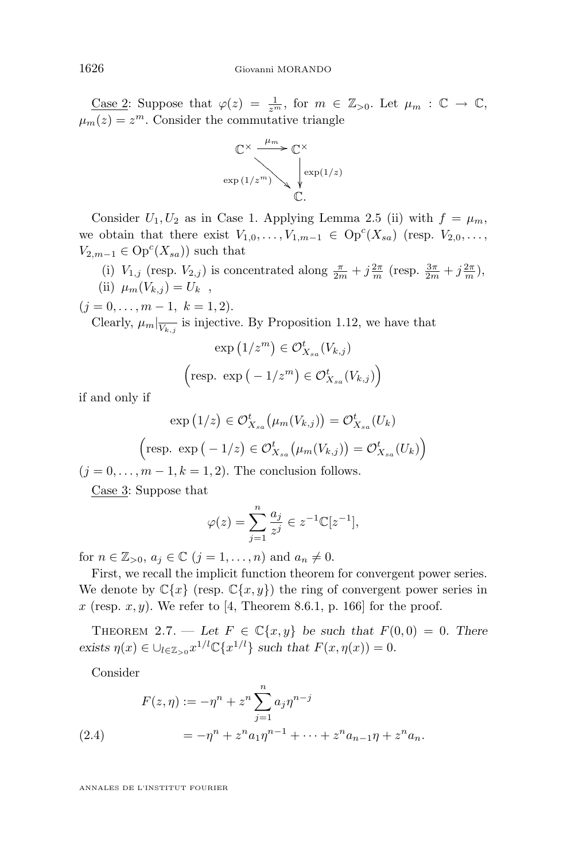<span id="page-16-0"></span><u>Case 2</u>: Suppose that  $\varphi(z) = \frac{1}{z^m}$ , for  $m \in \mathbb{Z}_{>0}$ . Let  $\mu_m : \mathbb{C} \to \mathbb{C}$ ,  $\mu_m(z) = z^m$ . Consider the commutative triangle



Consider  $U_1, U_2$  as in Case 1. Applying Lemma [2.5](#page-15-0) (ii) with  $f = \mu_m$ , we obtain that there exist  $V_{1,0}, \ldots, V_{1,m-1} \in \mathrm{Op}^c(X_{sa})$  (resp.  $V_{2,0}, \ldots$ ,  $V_{2,m-1} \in \mathrm{Op}^c(X_{sa})$  such that

(i)  $V_{1,j}$  (resp.  $V_{2,j}$ ) is concentrated along  $\frac{\pi}{2m} + j\frac{2\pi}{m}$  (resp.  $\frac{3\pi}{2m} + j\frac{2\pi}{m}$ ), (ii)  $\mu_m(V_{k,j}) = U_k$ ,

 $(j = 0, \ldots, m - 1, k = 1, 2).$ 

Clearly,  $\mu_m|_{\overline{V_{k,j}}}$  is injective. By Proposition [1.12,](#page-8-0) we have that

$$
\exp\left(1/z^m\right) \in \mathcal{O}_{X_{sa}}^t(V_{k,j})
$$
  
\n
$$
\left(\text{resp. } \exp\left(-1/z^m\right) \in \mathcal{O}_{X_{sa}}^t(V_{k,j})\right)
$$

if and only if

$$
\exp(1/z) \in \mathcal{O}_{X_{sa}}^{t}(\mu_m(V_{k,j})) = \mathcal{O}_{X_{sa}}^{t}(U_k)
$$
  
(resp. 
$$
\exp(-1/z) \in \mathcal{O}_{X_{sa}}^{t}(\mu_m(V_{k,j})) = \mathcal{O}_{X_{sa}}^{t}(U_k)
$$
)

 $(j = 0, \ldots, m - 1, k = 1, 2)$ . The conclusion follows.

Case 3: Suppose that

$$
\varphi(z) = \sum_{j=1}^n \frac{a_j}{z^j} \in z^{-1} \mathbb{C}[z^{-1}],
$$

for  $n \in \mathbb{Z}_{>0}, a_j \in \mathbb{C}$   $(j = 1, \ldots, n)$  and  $a_n \neq 0$ .

First, we recall the implicit function theorem for convergent power series. We denote by  $\mathbb{C}\{x\}$  (resp.  $\mathbb{C}\{x,y\}$ ) the ring of convergent power series in x (resp. x, y). We refer to [\[4,](#page-28-0) Theorem 8.6.1, p. 166] for the proof.

THEOREM 2.7. — Let  $F \in \mathbb{C}\lbrace x, y \rbrace$  be such that  $F(0,0) = 0$ . There exists  $\eta(x) \in \bigcup_{l \in \mathbb{Z}_{>0}} x^{1/l} \mathbb{C} \{x^{1/l}\}\$  such that  $F(x, \eta(x)) = 0$ .

Consider

(2.4) 
$$
F(z, \eta) := -\eta^{n} + z^{n} \sum_{j=1}^{n} a_{j} \eta^{n-j}
$$

$$
= -\eta^{n} + z^{n} a_{1} \eta^{n-1} + \dots + z^{n} a_{n-1} \eta + z^{n} a_{n}.
$$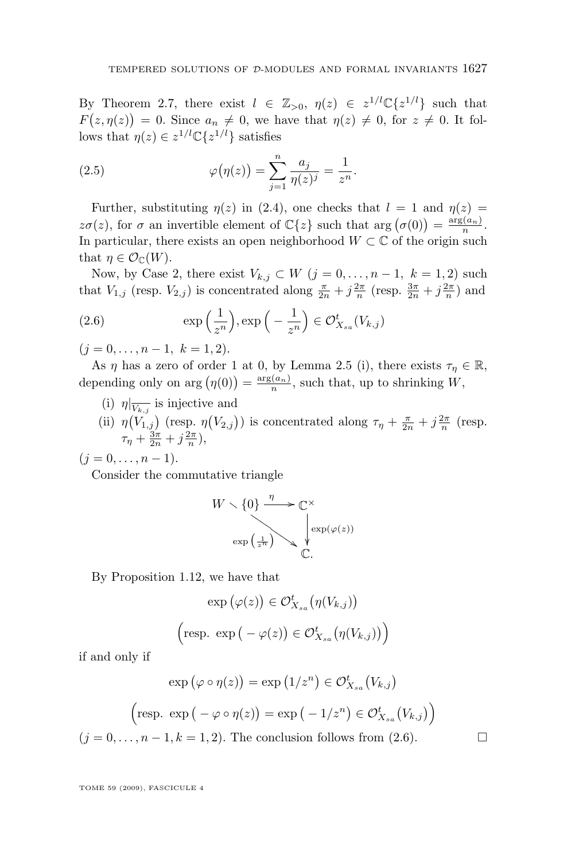By Theorem [2.7,](#page-16-0) there exist  $l \in \mathbb{Z}_{>0}$ ,  $\eta(z) \in z^{1/l} \mathbb{C} \{z^{1/l}\}\$  such that  $F(z, \eta(z)) = 0.$  Since  $a_n \neq 0$ , we have that  $\eta(z) \neq 0$ , for  $z \neq 0$ . It follows that  $\eta(z) \in z^{1/l} \mathbb{C} \{z^{1/l}\}\$  satisfies

(2.5) 
$$
\varphi(\eta(z)) = \sum_{j=1}^{n} \frac{a_j}{\eta(z)^j} = \frac{1}{z^n}.
$$

Further, substituting  $\eta(z)$  in [\(2.4\)](#page-16-0), one checks that  $l = 1$  and  $\eta(z) =$  $z\sigma(z)$ , for  $\sigma$  an invertible element of  $\mathbb{C}\lbrace z \rbrace$  such that  $\arg(\sigma(0)) = \frac{\arg(a_n)}{n}$ . In particular, there exists an open neighborhood  $W \subset \mathbb{C}$  of the origin such that  $\eta \in \mathcal{O}_{\mathbb{C}}(W)$ .

Now, by Case 2, there exist  $V_{k,j} \subset W$   $(j = 0, \ldots, n-1, k = 1, 2)$  such that  $V_{1,j}$  (resp.  $V_{2,j}$ ) is concentrated along  $\frac{\pi}{2n} + j\frac{2\pi}{n}$  (resp.  $\frac{3\pi}{2n} + j\frac{2\pi}{n}$ ) and

(2.6) 
$$
\exp\left(\frac{1}{z^n}\right), \exp\left(-\frac{1}{z^n}\right) \in \mathcal{O}_{X_{sa}}^t(V_{k,j})
$$

 $(j = 0, \ldots, n - 1, k = 1, 2).$ 

As  $\eta$  has a zero of order 1 at 0, by Lemma [2.5](#page-15-0) (i), there exists  $\tau_{\eta} \in \mathbb{R}$ , depending only on  $\arg(\eta(0)) = \frac{\arg(a_n)}{n}$ , such that, up to shrinking W,

- (i)  $\eta|_{\overline{V_{k,j}}}$  is injective and
- (ii)  $\eta(V_{1,j})$  (resp.  $\eta(V_{2,j})$ ) is concentrated along  $\tau_{\eta} + \frac{\pi}{2n} + j\frac{2\pi}{n}$  (resp.  $\tau_{\eta} + \frac{3\pi}{2n} + j\frac{2\pi}{n},$

 $(j = 0, \ldots, n - 1).$ 

Consider the commutative triangle

$$
W \setminus \{0\} \xrightarrow{\eta} \mathbb{C}^{\times}
$$

$$
\exp\left(\frac{1}{z^{\pi}}\right) \searrow \psi \exp(\varphi(z))
$$

$$
\mathbb{C}.
$$

By Proposition [1.12,](#page-8-0) we have that

$$
\exp(\varphi(z)) \in \mathcal{O}_{X_{sa}}^{t}(\eta(V_{k,j}))
$$
  

$$
\left(\text{resp. } \exp(-\varphi(z)) \in \mathcal{O}_{X_{sa}}^{t}(\eta(V_{k,j}))\right)
$$

if and only if

$$
\exp(\varphi \circ \eta(z)) = \exp(1/z^n) \in \mathcal{O}_{X_{sa}}^t(V_{k,j})
$$
  
(resp. 
$$
\exp(-\varphi \circ \eta(z)) = \exp(-1/z^n) \in \mathcal{O}_{X_{sa}}^t(V_{k,j})
$$
)

 $(j = 0, \ldots, n-1, k = 1, 2)$ . The conclusion follows from  $(2.6)$ .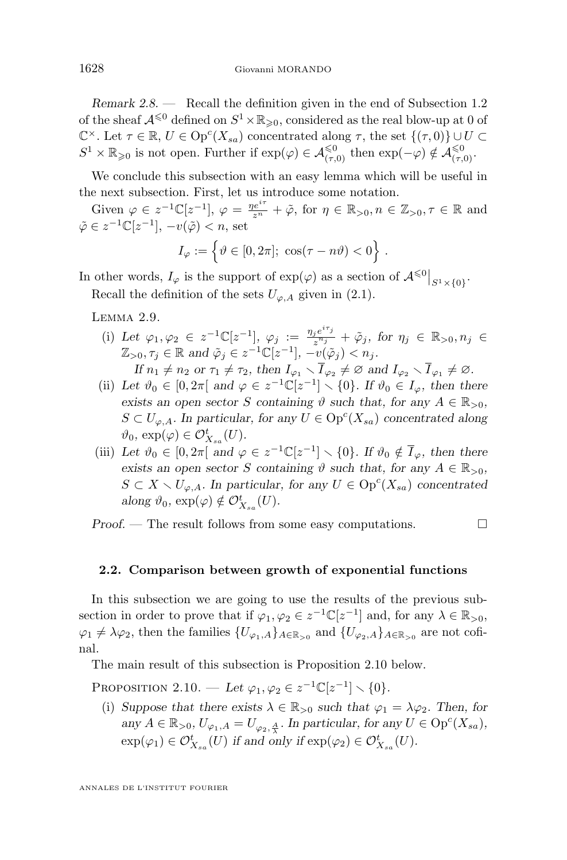<span id="page-18-0"></span>*Remark 2.8. —* Recall the definition given in the end of Subsection [1.2](#page-7-0) of the sheaf  $\mathcal{A}^{\leq 0}$  defined on  $S^1 \times \mathbb{R}_{\geqslant 0}$ , considered as the real blow-up at 0 of  $\mathbb{C}^{\times}$ . Let  $\tau \in \mathbb{R}$ ,  $U \in \text{Op}^{c}(X_{sa})$  concentrated along  $\tau$ , the set  $\{(\tau,0)\} \cup U \subset$  $S^1 \times \mathbb{R}_{\geqslant 0}$  is not open. Further if  $\exp(\varphi) \in \mathcal{A}_{(\tau,0)}^{\leqslant 0}$  then  $\exp(-\varphi) \notin \mathcal{A}_{(\tau,0)}^{\leqslant 0}$ .

We conclude this subsection with an easy lemma which will be useful in the next subsection. First, let us introduce some notation.

Given  $\varphi \in z^{-1}\mathbb{C}[z^{-1}], \varphi = \frac{\eta e^{i\tau}}{z^n} + \tilde{\varphi}$ , for  $\eta \in \mathbb{R}_{>0}, n \in \mathbb{Z}_{>0}, \tau \in \mathbb{R}$  and  $\tilde{\varphi} \in z^{-1} \mathbb{C}[z^{-1}], -v(\tilde{\varphi}) < n$ , set

$$
I_{\varphi} := \left\{ \vartheta \in [0, 2\pi]; \ \cos(\tau - n\vartheta) < 0 \right\} \, .
$$

In other words,  $I_{\varphi}$  is the support of  $\exp(\varphi)$  as a section of  $\mathcal{A}^{\leq 0}|_{S^1\times\{0\}}$ .

Recall the definition of the sets  $U_{\varphi,A}$  given in [\(2.1\)](#page-12-0).

Lemma 2.9.

- (i) Let  $\varphi_1, \varphi_2 \in z^{-1} \mathbb{C}[z^{-1}], \varphi_j := \frac{\eta_j e^{i\tau_j}}{z^{\eta_j}}$  $\frac{e^{i\theta}e^{i\theta}j}{z^{n_j}}+\tilde{\varphi}_j, \text{ for }\eta_j\,\in\,\mathbb{R}_{>0}, n_j\,\in\mathbb{R}$  $\mathbb{Z}_{>0}, \tau_j \in \mathbb{R}$  and  $\tilde{\varphi}_j \in z^{-1} \mathbb{C}[z^{-1}], -v(\tilde{\varphi}_j) < n_j$ . *If*  $n_1 \neq n_2$  or  $\tau_1 \neq \tau_2$ , then  $I_{\varphi_1} \setminus \overline{I}_{\varphi_2} \neq \varnothing$  and  $I_{\varphi_2} \setminus \overline{I}_{\varphi_1} \neq \varnothing$ .
- (ii) Let  $\vartheta_0 \in [0, 2\pi[$  and  $\varphi \in z^{-1}\mathbb{C}[z^{-1}] \setminus \{0\}$ . If  $\vartheta_0 \in I_{\varphi}$ , then there *exists an open sector* S *containing*  $\vartheta$  *such that, for any*  $A \in \mathbb{R}_{>0}$ *,*  $S \subset U_{\varphi,A}$ *.* In particular, for any  $U \in \text{Op}^c(X_{sa})$  concentrated along  $\vartheta_0$ ,  $\exp(\varphi) \in \mathcal{O}_{X_{sa}}^t(U)$ .
- (iii) Let  $\vartheta_0 \in [0, 2\pi[$  and  $\varphi \in z^{-1}\mathbb{C}[z^{-1}] \setminus \{0\}$ . If  $\vartheta_0 \notin \overline{I}_{\varphi}$ , then there *exists an open sector* S *containing*  $\vartheta$  *such that, for any*  $A \in \mathbb{R}_{>0}$ *,*  $S \subset X \setminus U_{\varphi,A}$ *. In particular, for any*  $U \in \text{Op}^c(X_{sa})$  *concentrated*  $along \ \vartheta_0, \ exp(\varphi) \notin \mathcal{O}_{X_{sa}}^{t}(U).$

*Proof.* — The result follows from some easy computations.

### **2.2. Comparison between growth of exponential functions**

In this subsection we are going to use the results of the previous subsection in order to prove that if  $\varphi_1, \varphi_2 \in z^{-1} \mathbb{C}[z^{-1}]$  and, for any  $\lambda \in \mathbb{R}_{>0}$ ,  $\varphi_1 \neq \lambda \varphi_2$ , then the families  $\{U_{\varphi_1,A}\}_{A \in \mathbb{R}_{>0}}$  and  $\{U_{\varphi_2,A}\}_{A \in \mathbb{R}_{>0}}$  are not cofinal.

The main result of this subsection is Proposition 2.10 below.

PROPOSITION 2.10. — Let  $\varphi_1, \varphi_2 \in z^{-1} \mathbb{C}[z^{-1}] \setminus \{0\}.$ 

(i) *Suppose that there exists*  $\lambda \in \mathbb{R}_{>0}$  *such that*  $\varphi_1 = \lambda \varphi_2$ *. Then, for*  $\text{any } A \in \mathbb{R}_{>0}, U_{\varphi_1, A} = U_{\varphi_2, \frac{A}{\lambda}}.$  In particular, for any  $U \in \text{Op}^c(X_{sa}),$  $\exp(\varphi_1) \in \mathcal{O}_{X_{sa}}^t(U)$  if and only if  $\exp(\varphi_2) \in \mathcal{O}_{X_{sa}}^t(U)$ .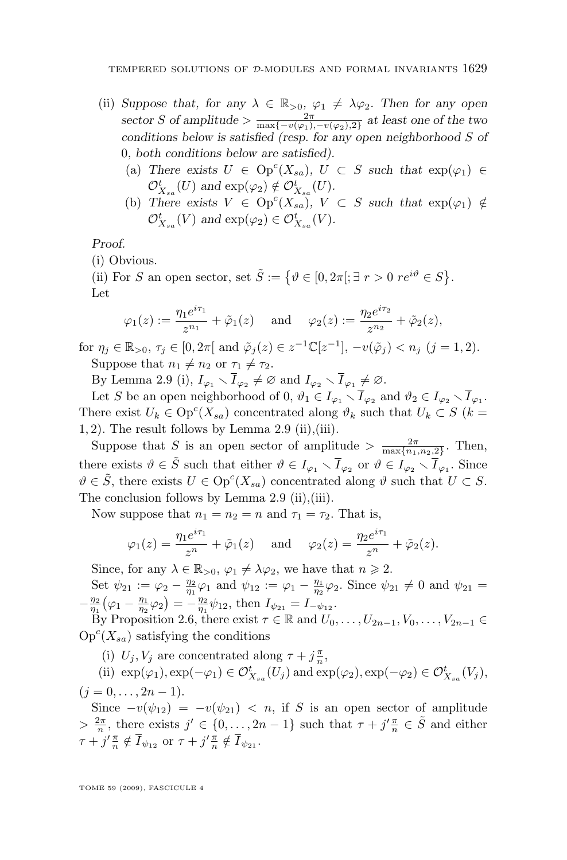- (ii) *Suppose that, for any*  $\lambda \in \mathbb{R}_{>0}$ ,  $\varphi_1 \neq \lambda \varphi_2$ . Then for any open sector S of amplitude  $> \frac{2\pi}{\max\{-v(\varphi_1), -v(\varphi_2), 2\}}$  at least one of the two *conditions below is satisfied (resp. for any open neighborhood* S *of* 0*, both conditions below are satisfied).*
	- (a) There exists  $U \in \text{Op}^c(X_{sa})$ ,  $U \subset S$  such that  $\exp(\varphi_1) \in$  $\mathcal{O}_{X_{sa}}^t(U)$  and  $\exp(\varphi_2) \notin \mathcal{O}_{X_{sa}}^t(U)$ .
	- (b) There exists  $V \in \text{Op}^c(X_{sa})$ ,  $V \subset S$  such that  $\exp(\varphi_1) \notin$  $\mathcal{O}_{X_{sa}}^t(V)$  and  $\exp(\varphi_2) \in \mathcal{O}_{X_{sa}}^t(V)$ *.*

*Proof.*

(i) Obvious.

(ii) For S an open sector, set  $\tilde{S} := \{ \vartheta \in [0, 2\pi]; \exists r > 0 \text{ } re^{i\vartheta} \in S \}.$ Let

$$
\varphi_1(z) := \frac{\eta_1 e^{i\tau_1}}{z^{n_1}} + \tilde{\varphi}_1(z)
$$
 and  $\varphi_2(z) := \frac{\eta_2 e^{i\tau_2}}{z^{n_2}} + \tilde{\varphi}_2(z),$ 

for  $\eta_j \in \mathbb{R}_{>0}, \tau_j \in [0, 2\pi]$  and  $\tilde{\varphi}_j(z) \in z^{-1} \mathbb{C}[z^{-1}], -v(\tilde{\varphi}_j) < n_j \ (j = 1, 2).$ Suppose that  $n_1 \neq n_2$  or  $\tau_1 \neq \tau_2$ .

By Lemma [2.9](#page-18-0) (i),  $I_{\varphi_1} \setminus \overline{I}_{\varphi_2} \neq \varnothing$  and  $I_{\varphi_2} \setminus \overline{I}_{\varphi_1} \neq \varnothing$ .

Let S be an open neighborhood of 0,  $\vartheta_1 \in I_{\varphi_1} \setminus \overline{I}_{\varphi_2}$  and  $\vartheta_2 \in I_{\varphi_2} \setminus \overline{I}_{\varphi_1}$ . There exist  $U_k \in \text{Op}^c(X_{sa})$  concentrated along  $\vartheta_k$  such that  $U_k \subset S$  ( $k =$  $(1, 2)$ . The result follows by Lemma [2.9](#page-18-0) (ii),(iii).

Suppose that S is an open sector of amplitude  $> \frac{2\pi}{\max\{n_1, n_2, 2\}}$ . Then, there exists  $\vartheta \in \tilde{S}$  such that either  $\vartheta \in I_{\varphi_1} \setminus \overline{I}_{\varphi_2}$  or  $\vartheta \in I_{\varphi_2} \setminus \overline{I}_{\varphi_1}$ . Since  $\vartheta \in \tilde{S}$ , there exists  $U \in \text{Op}^c(X_{sa})$  concentrated along  $\vartheta$  such that  $U \subset S$ . The conclusion follows by Lemma [2.9](#page-18-0) (ii),(iii).

Now suppose that  $n_1 = n_2 = n$  and  $\tau_1 = \tau_2$ . That is,

$$
\varphi_1(z) = \frac{\eta_1 e^{i\tau_1}}{z^n} + \tilde{\varphi}_1(z)
$$
 and  $\varphi_2(z) = \frac{\eta_2 e^{i\tau_1}}{z^n} + \tilde{\varphi}_2(z).$ 

Since, for any  $\lambda \in \mathbb{R}_{>0}$ ,  $\varphi_1 \neq \lambda \varphi_2$ , we have that  $n \geq 2$ .

Set  $\psi_{21} := \varphi_2 - \frac{\eta_2}{\eta_1} \varphi_1$  and  $\psi_{12} := \varphi_1 - \frac{\eta_1}{\eta_2} \varphi_2$ . Since  $\psi_{21} \neq 0$  and  $\psi_{21} =$  $-\frac{\eta_2}{\eta_1}(\varphi_1 - \frac{\eta_1}{\eta_2}\varphi_2) = -\frac{\eta_2}{\eta_1}\psi_{12}$ , then  $I_{\psi_{21}} = I_{-\psi_{12}}$ .

By Proposition [2.6,](#page-15-0) there exist  $\tau \in \mathbb{R}$  and  $U_0, \ldots, U_{2n-1}, V_0, \ldots, V_{2n-1} \in$  $\mathrm{Op}^c(X_{sa})$  satisfying the conditions

(i)  $U_j, V_j$  are concentrated along  $\tau + j\frac{\pi}{n}$ ,

(ii)  $\exp(\varphi_1), \exp(-\varphi_1) \in \mathcal{O}_{X_{sa}}^t(U_j)$  and  $\exp(\varphi_2), \exp(-\varphi_2) \in \mathcal{O}_{X_{sa}}^t(V_j)$ ,

$$
(j=0,\ldots,2n-1).
$$

Since  $-v(\psi_{12}) = -v(\psi_{21}) < n$ , if S is an open sector of amplitude  $> \frac{2\pi}{n}$ , there exists  $j' \in \{0, \ldots, 2n-1\}$  such that  $\tau + j'\frac{\pi}{n} \in \tilde{S}$  and either  $\tau + j' \frac{\pi}{n} \notin \overline{I}_{\psi_{12}} \text{ or } \tau + j' \frac{\pi}{n} \notin \overline{I}_{\psi_{21}}.$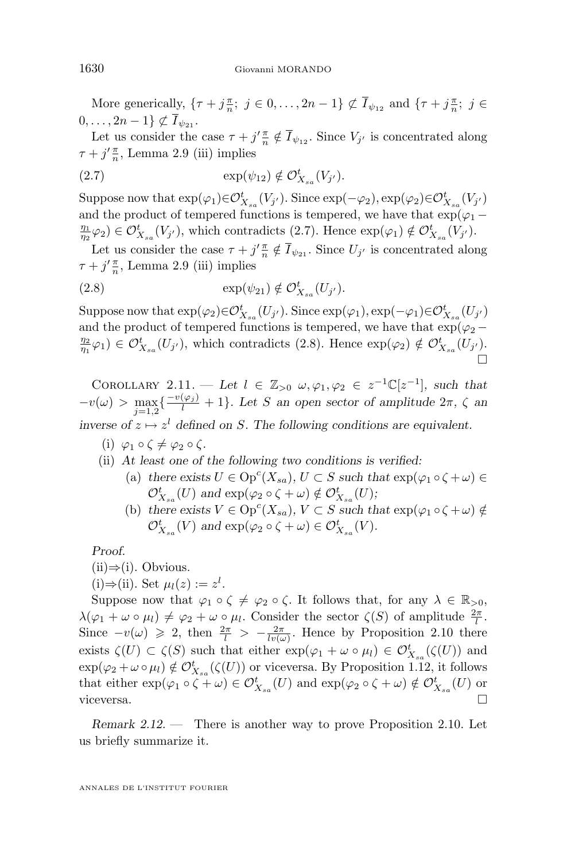<span id="page-20-0"></span>More generically,  $\{\tau + j\frac{\pi}{n}; j \in 0, \ldots, 2n-1\} \not\subset \overline{I}_{\psi_{12}}$  and  $\{\tau + j\frac{\pi}{n}; j \in$  $0, \ldots, 2n-1 \} \not\subset \overline{I}_{\psi_{21}}$ .

Let us consider the case  $\tau + j' \frac{\pi}{n} \notin \overline{I}_{\psi_{12}}$ . Since  $V_{j'}$  is concentrated along  $\tau + j' \frac{\pi}{n}$ , Lemma [2.9](#page-18-0) (iii) implies

$$
(2.7) \qquad \qquad \exp(\psi_{12}) \notin \mathcal{O}_{X_{sa}}^t(V_{j'}).
$$

Suppose now that  $\exp(\varphi_1) \in \mathcal{O}_{X_{sa}}^t(V_{j'})$ . Since  $\exp(-\varphi_2), \exp(\varphi_2) \in \mathcal{O}_{X_{sa}}^t(V_{j'})$ and the product of tempered functions is tempered, we have that  $\exp(\varphi_1 - \varphi_2)$  $\frac{\eta_1}{\eta_2}\varphi_2)\in\mathcal{O}_{X_{sa}}^t(V_{j'}),$  which contradicts (2.7). Hence  $\exp(\varphi_1)\notin\mathcal{O}_{X_{sa}}^t(V_{j'}).$ 

Let us consider the case  $\tau + j' \frac{\pi}{n} \notin \overline{I}_{\psi_{21}}$ . Since  $U_{j'}$  is concentrated along  $\tau + j' \frac{\pi}{n}$ , Lemma [2.9](#page-18-0) (iii) implies

$$
(2.8) \qquad \qquad \exp(\psi_{21}) \notin \mathcal{O}_{X_{sa}}^t(U_{j'}).
$$

Suppose now that  $\exp(\varphi_2) \in \mathcal{O}_{X_{sa}}^t(U_{j'})$ . Since  $\exp(\varphi_1), \exp(-\varphi_1) \in \mathcal{O}_{X_{sa}}^t(U_{j'})$ and the product of tempered functions is tempered, we have that  $\exp(\varphi_2 - \pi)$  $\frac{\eta_2}{\eta_1}\varphi_1$   $\in \mathcal{O}_{X_{sa}}^t(U_{j'})$ , which contradicts (2.8). Hence  $\exp(\varphi_2) \notin \mathcal{O}_{X_{sa}}^t(U_{j'})$ .  $\Box$ 

COROLLARY 2.11. — Let  $l \in \mathbb{Z}_{>0}$   $\omega, \varphi_1, \varphi_2 \in z^{-1}\mathbb{C}[z^{-1}]$ , such that  $-v(\omega) > \max_{j=1,2} \left\{ \frac{-v(\varphi_j)}{l} + 1 \right\}$ . Let S an open sector of amplitude  $2\pi$ ,  $\zeta$  an *inverse of*  $z \mapsto z^l$  *defined on* S. The following conditions are equivalent.

- (i)  $\varphi_1 \circ \zeta \neq \varphi_2 \circ \zeta$ .
- (ii) *At least one of the following two conditions is verified:*
	- (a) there exists  $U \in \text{Op}^c(X_{sa}), U \subset S$  such that  $\exp(\varphi_1 \circ \zeta + \omega) \in$  $\mathcal{O}_{X_{sa}}^t(U)$  and  $\exp(\varphi_2 \circ \zeta + \omega) \notin \mathcal{O}_{X_{sa}}^t(U);$
	- (b) there exists  $V \in \text{Op}^c(X_{sa}), V \subset S$  such that  $\exp(\varphi_1 \circ \zeta + \omega) \notin$  $\mathcal{O}_{X_{sa}}^t(V)$  and  $\exp(\varphi_2 \circ \zeta + \omega) \in \mathcal{O}_{X_{sa}}^t(V)$ .

*Proof.*

- $(ii) ⇒ (i).$  Obvious.
- (i)⇒(ii). Set  $\mu_l(z) := z^l$ .

Suppose now that  $\varphi_1 \circ \zeta \neq \varphi_2 \circ \zeta$ . It follows that, for any  $\lambda \in \mathbb{R}_{>0}$ ,  $\lambda(\varphi_1 + \omega \circ \mu_l) \neq \varphi_2 + \omega \circ \mu_l$ . Consider the sector  $\zeta(S)$  of amplitude  $\frac{2\pi}{l}$ . Since  $-v(\omega) \geq 2$ , then  $\frac{2\pi}{l} > -\frac{2\pi}{lv(\omega)}$ . Hence by Proposition [2.10](#page-18-0) there exists  $\zeta(U) \subset \zeta(S)$  such that either  $\exp(\varphi_1 + \omega \circ \mu_l) \in \mathcal{O}_{X_{sa}}^t(\zeta(U))$  and  $\exp(\varphi_2 + \omega \circ \mu_l) \notin \mathcal{O}_{X_{sa}}^t(\zeta(U))$  or viceversa. By Proposition [1.12,](#page-8-0) it follows that either  $\exp(\varphi_1 \circ \zeta + \omega) \in \mathcal{O}_{X_{sa}}^t(U)$  and  $\exp(\varphi_2 \circ \zeta + \omega) \notin \mathcal{O}_{X_{sa}}^t(U)$  or viceversa.

*Remark 2.12. —* There is another way to prove Proposition [2.10.](#page-18-0) Let us briefly summarize it.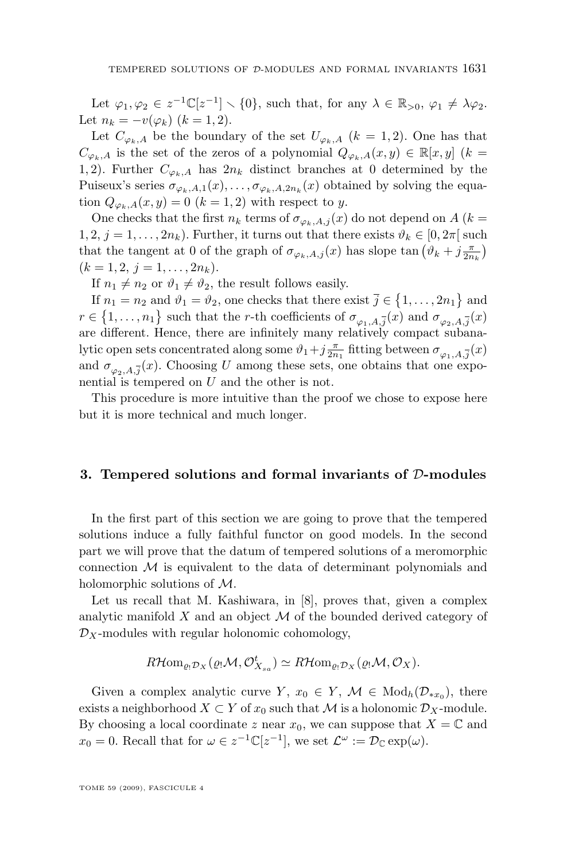Let  $\varphi_1, \varphi_2 \in z^{-1} \mathbb{C}[z^{-1}] \setminus \{0\}$ , such that, for any  $\lambda \in \mathbb{R}_{>0}, \varphi_1 \neq \lambda \varphi_2$ . Let  $n_k = -v(\varphi_k)$   $(k = 1, 2)$ .

Let  $C_{\varphi_k,A}$  be the boundary of the set  $U_{\varphi_k,A}$   $(k = 1,2)$ . One has that  $C_{\varphi_k,A}$  is the set of the zeros of a polynomial  $Q_{\varphi_k,A}(x,y) \in \mathbb{R}[x,y]$  (k = 1, 2). Further  $C_{\varphi_k,A}$  has  $2n_k$  distinct branches at 0 determined by the Puiseux's series  $\sigma_{\varphi_k,A,1}(x), \ldots, \sigma_{\varphi_k,A,2n_k}(x)$  obtained by solving the equation  $Q_{\varphi_k, A}(x, y) = 0$   $(k = 1, 2)$  with respect to y.

One checks that the first  $n_k$  terms of  $\sigma_{\varphi_k,A,j}(x)$  do not depend on A ( $k=$  $1, 2, j = 1, \ldots, 2n_k$ ). Further, it turns out that there exists  $\vartheta_k \in [0, 2\pi]$  such that the tangent at 0 of the graph of  $\sigma_{\varphi_k, A, j}(x)$  has slope tan  $(\vartheta_k + j \frac{\pi}{2n_k})$  $(k = 1, 2, j = 1, \ldots, 2n_k).$ 

If  $n_1 \neq n_2$  or  $\vartheta_1 \neq \vartheta_2$ , the result follows easily.

If  $n_1 = n_2$  and  $\vartheta_1 = \vartheta_2$ , one checks that there exist  $\bar{j} \in \{1, ..., 2n_1\}$  and  $r \in \{1, \ldots, n_1\}$  such that the *r*-th coefficients of  $\sigma_{\varphi_1, A, \overline{j}}(x)$  and  $\sigma_{\varphi_2, A, \overline{j}}(x)$ are different. Hence, there are infinitely many relatively compact subanalytic open sets concentrated along some  $\vartheta_1+j{\pi\over 2n_1}$  fitting between  $\sigma_{\varphi_1,A,{\overline j}}(x)$ and  $\sigma_{\varphi_2,A,\overline{j}}(x)$ . Choosing U among these sets, one obtains that one exponential is tempered on U and the other is not.

This procedure is more intuitive than the proof we chose to expose here but it is more technical and much longer.

## **3. Tempered solutions and formal invariants of** D**-modules**

In the first part of this section we are going to prove that the tempered solutions induce a fully faithful functor on good models. In the second part we will prove that the datum of tempered solutions of a meromorphic connection  $M$  is equivalent to the data of determinant polynomials and holomorphic solutions of M.

Let us recall that M. Kashiwara, in [\[8\]](#page-28-0), proves that, given a complex analytic manifold  $X$  and an object  $M$  of the bounded derived category of  $\mathcal{D}_X$ -modules with regular holonomic cohomology,

$$
R\mathcal{H}om_{\varrho_!\mathcal{D}_X}(\varrho_!\mathcal{M},\mathcal{O}_{X_{sa}}^t)\simeq R\mathcal{H}om_{\varrho_!\mathcal{D}_X}(\varrho_!\mathcal{M},\mathcal{O}_X).
$$

Given a complex analytic curve  $Y, x_0 \in Y, \mathcal{M} \in Mod_h(\mathcal{D}_{*x_0}),$  there exists a neighborhood  $X \subset Y$  of  $x_0$  such that M is a holonomic  $\mathcal{D}_X$ -module. By choosing a local coordinate z near  $x_0$ , we can suppose that  $X = \mathbb{C}$  and  $x_0 = 0$ . Recall that for  $\omega \in z^{-1} \mathbb{C}[z^{-1}]$ , we set  $\mathcal{L}^{\omega} := \mathcal{D}_{\mathbb{C}} \exp(\omega)$ .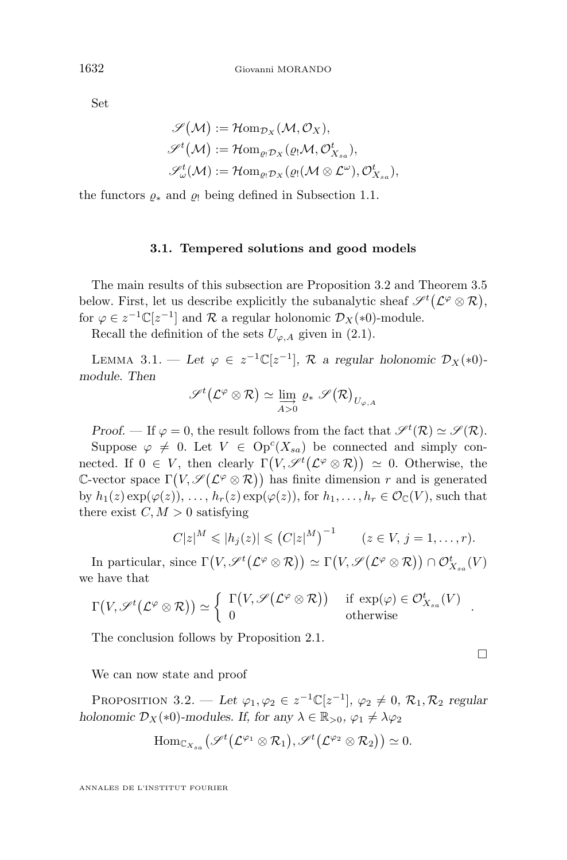<span id="page-22-0"></span>Set

$$
\begin{aligned} \mathscr{S}(\mathcal{M}) &:= \mathcal{H}om_{\mathcal{D}_X}(\mathcal{M}, \mathcal{O}_X), \\ \mathscr{S}^t(\mathcal{M}) &:= \mathcal{H}om_{\varrho_! \mathcal{D}_X}(\varrho_! \mathcal{M}, \mathcal{O}_{X_{sa}}^t), \\ \mathscr{S}_{\omega}^t(\mathcal{M}) &:= \mathcal{H}om_{\varrho_! \mathcal{D}_X}(\varrho_! (\mathcal{M} \otimes \mathcal{L}^{\omega}), \mathcal{O}_{X_{sa}}^t), \end{aligned}
$$

the functors  $\varrho_*$  and  $\varrho_!$  being defined in Subsection [1.1.](#page-5-0)

## **3.1. Tempered solutions and good models**

The main results of this subsection are Proposition 3.2 and Theorem [3.5](#page-25-0) below. First, let us describe explicitly the subanalytic sheaf  $\mathscr{S}^t(\mathcal{L}^\varphi \otimes \mathcal{R}),$ for  $\varphi \in z^{-1} \mathbb{C}[z^{-1}]$  and  $\mathcal R$  a regular holonomic  $\mathcal D_X(*)$ -module.

Recall the definition of the sets  $U_{\varphi,A}$  given in [\(2.1\)](#page-12-0).

LEMMA 3.1. — Let  $\varphi \in z^{-1} \mathbb{C}[z^{-1}], \mathcal{R}$  a regular holonomic  $\mathcal{D}_X(*0)$ *module. Then*

$$
\mathscr{S}^t\big(\mathcal{L}^\varphi\otimes\mathcal{R}\big)\simeq \varinjlim_{A>0}\varrho_*\mathscr{S}\big(\mathcal{R}\big)_{U_{\varphi,A}}
$$

*Proof.* — If  $\varphi = 0$ , the result follows from the fact that  $\mathscr{S}^t(\mathcal{R}) \simeq \mathscr{S}(\mathcal{R})$ .

Suppose  $\varphi \neq 0$ . Let  $V \in \text{Op}^c(X_{sa})$  be connected and simply connected. If  $0 \in V$ , then clearly  $\Gamma(V, \mathscr{S}^t(\mathcal{L}^\varphi \otimes \mathcal{R})) \simeq 0$ . Otherwise, the C-vector space  $\Gamma(V, \mathscr{S}(\mathcal{L}^{\varphi}\otimes\mathcal{R}))$  has finite dimension r and is generated by  $h_1(z) \exp(\varphi(z)), \ldots, h_r(z) \exp(\varphi(z)),$  for  $h_1, \ldots, h_r \in \mathcal{O}_{\mathbb{C}}(V)$ , such that there exist  $C, M > 0$  satisfying

$$
C|z|^M \leqslant |h_j(z)| \leqslant (C|z|^M)^{-1} \qquad (z \in V, j = 1, \ldots, r).
$$

 $\Box$ 

In particular, since  $\Gamma(V, \mathscr{S}^t(\mathcal{L}^\varphi \otimes \mathcal{R})) \simeq \Gamma(V, \mathscr{S}(\mathcal{L}^\varphi \otimes \mathcal{R})) \cap \mathcal{O}_{X_{sa}}^t(V)$ we have that

$$
\Gamma\big(V, \mathscr{S}^t\big(\mathcal{L}^\varphi \otimes \mathcal{R}\big)\big) \simeq \left\{ \begin{array}{ll} \Gamma\big(V, \mathscr{S}\big(\mathcal{L}^\varphi \otimes \mathcal{R}\big)\big) & \text{ if } \exp(\varphi) \in \mathcal{O}_{X_{sa}}^t(V) \\ 0 & \text{ otherwise} \end{array} \right. .
$$

The conclusion follows by Proposition [2.1.](#page-12-0)

We can now state and proof

PROPOSITION 3.2. — Let  $\varphi_1, \varphi_2 \in z^{-1} \mathbb{C}[z^{-1}], \varphi_2 \neq 0, \mathcal{R}_1, \mathcal{R}_2$  regular *holonomic*  $\mathcal{D}_X(*0)$ *-modules. If, for any*  $\lambda \in \mathbb{R}_{>0}$ *,*  $\varphi_1 \neq \lambda \varphi_2$ 

$$
\mathrm{Hom}_{{\mathbb C}_{X_{sa}}} \bigl(\mathscr{S}^{t}\bigl({\mathcal L}^{\varphi_1} \otimes {\mathcal R}_1\bigr), \mathscr{S}^{t}\bigl({\mathcal L}^{\varphi_2} \otimes {\mathcal R}_2\bigr)\bigr) \simeq 0.
$$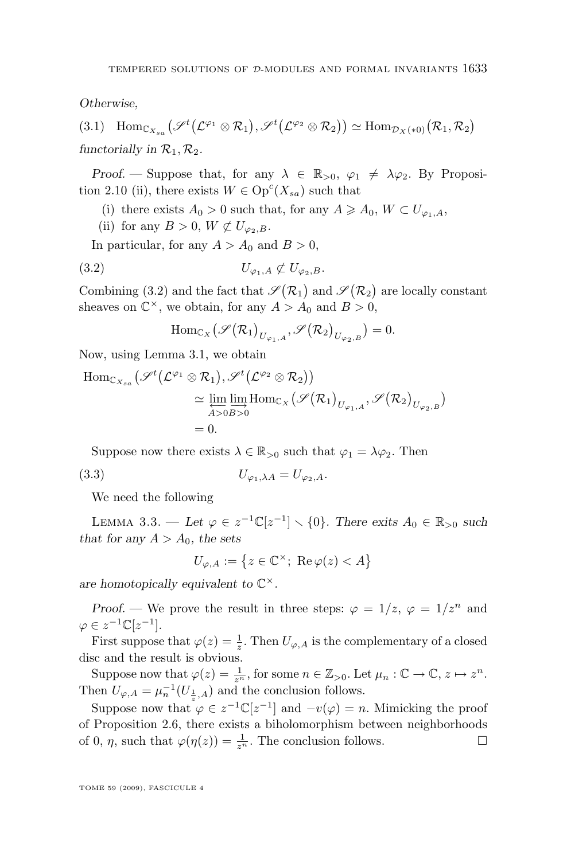<span id="page-23-0"></span>*Otherwise,*

(3.1)  $\text{Hom}_{\mathbb{C}_{X_{sa}}}(\mathscr{S}^{t}(\mathcal{L}^{\varphi_1} \otimes \mathcal{R}_1), \mathscr{S}^{t}(\mathcal{L}^{\varphi_2} \otimes \mathcal{R}_2)) \simeq \text{Hom}_{\mathcal{D}_X(*0)}(\mathcal{R}_1, \mathcal{R}_2)$ *functorially in*  $\mathcal{R}_1, \mathcal{R}_2$ *.* 

*Proof.* — Suppose that, for any  $\lambda \in \mathbb{R}_{>0}$ ,  $\varphi_1 \neq \lambda \varphi_2$ . By Proposi-tion [2.10](#page-18-0) (ii), there exists  $W \in \text{Op}^c(X_{sa})$  such that

- (i) there exists  $A_0 > 0$  such that, for any  $A \geq A_0$ ,  $W \subset U_{\varphi_1,A}$ ,
- (ii) for any  $B > 0$ ,  $W \not\subset U_{\varphi_2, B}$ .

In particular, for any  $A > A_0$  and  $B > 0$ ,

$$
(3.2) \t\t U_{\varphi_1,A} \not\subset U_{\varphi_2,B}.
$$

Combining (3.2) and the fact that  $\mathscr{S}(\mathcal{R}_1)$  and  $\mathscr{S}(\mathcal{R}_2)$  are locally constant sheaves on  $\mathbb{C}^{\times}$ , we obtain, for any  $A > A_0$  and  $B > 0$ ,

$$
\mathrm{Hom}_{\mathbb{C}_X}(\mathscr{S}(\mathcal{R}_1)_{U_{\varphi_1,A}}, \mathscr{S}(\mathcal{R}_2)_{U_{\varphi_2,B}}) = 0.
$$

Now, using Lemma [3.1,](#page-22-0) we obtain

$$
\begin{split} \mathrm{Hom}_{{\mathbb C}_{X_{sa}}} & \big(\mathscr{S}^t\big(\mathcal{L}^{\varphi_1}\otimes \mathcal{R}_1\big),\mathscr{S}^t\big(\mathcal{L}^{\varphi_2}\otimes \mathcal{R}_2\big)\big) \\ &\simeq \varprojlim_{A>0} \varinjlim_{B>0} \mathrm{Hom}_{{\mathbb C}_X}\big(\mathscr{S}\big(\mathcal{R}_1\big)_{U_{\varphi_1,A}},\mathscr{S}\big(\mathcal{R}_2\big)_{U_{\varphi_2,B}}\big) \\ &= 0. \end{split}
$$

Suppose now there exists  $\lambda \in \mathbb{R}_{>0}$  such that  $\varphi_1 = \lambda \varphi_2$ . Then

$$
(3.3) \t\t\t U_{\varphi_1,\lambda A} = U_{\varphi_2,A}.
$$

We need the following

LEMMA 3.3. — Let  $\varphi \in z^{-1} \mathbb{C}[z^{-1}] \setminus \{0\}$ . There exits  $A_0 \in \mathbb{R}_{>0}$  such *that for any*  $A > A_0$ *, the sets* 

$$
U_{\varphi,A}:=\left\{z\in\mathbb{C}^{\times};\ \operatorname{Re}\varphi(z)
$$

*are homotopically equivalent to* C ×*.*

*Proof.* — We prove the result in three steps:  $\varphi = 1/z$ ,  $\varphi = 1/z^n$  and  $\varphi \in z^{-1} \mathbb{C} [z^{-1}].$ 

First suppose that  $\varphi(z) = \frac{1}{z}$ . Then  $U_{\varphi,A}$  is the complementary of a closed disc and the result is obvious.

Suppose now that  $\varphi(z) = \frac{1}{z^n}$ , for some  $n \in \mathbb{Z}_{>0}$ . Let  $\mu_n : \mathbb{C} \to \mathbb{C}, z \mapsto z^n$ . Then  $U_{\varphi,A} = \mu_n^{-1}(U_{\frac{1}{z},A})$  and the conclusion follows.

Suppose now that  $\varphi \in z^{-1} \mathbb{C}[z^{-1}]$  and  $-v(\varphi) = n$ . Mimicking the proof of Proposition [2.6,](#page-15-0) there exists a biholomorphism between neighborhoods of 0,  $\eta$ , such that  $\varphi(\eta(z)) = \frac{1}{z^n}$ . The conclusion follows.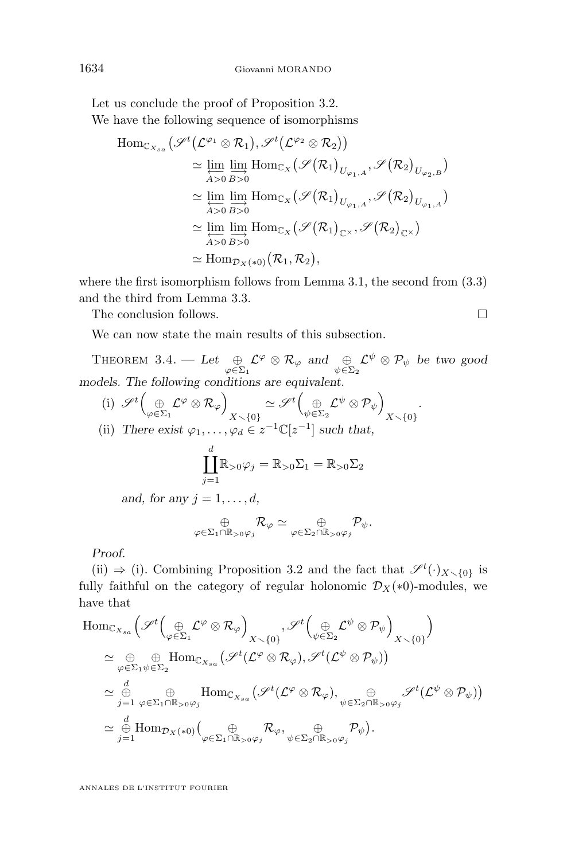Let us conclude the proof of Proposition [3.2.](#page-22-0) We have the following sequence of isomorphisms

$$
\begin{split} \mathrm{Hom}_{{\mathbb C}_{X_{sa}}} & \big(\mathscr{S}^t\big({\mathcal L}^{\varphi_1}\otimes {\mathcal R}_1\big),\mathscr{S}^t\big({\mathcal L}^{\varphi_2}\otimes {\mathcal R}_2\big)\big) \\ & \simeq \varprojlim_{A>0}\varinjlim_{B>0} \mathrm{Hom}_{{\mathbb C}_X}\big(\mathscr{S}\big({\mathcal R}_1\big)_{U_{\varphi_1,A}},\mathscr{S}\big({\mathcal R}_2\big)_{U_{\varphi_2,B}}\big) \\ & \simeq \varprojlim_{A>0}\varinjlim_{B>0} \mathrm{Hom}_{{\mathbb C}_X}\big(\mathscr{S}\big({\mathcal R}_1\big)_{U_{\varphi_1,A}},\mathscr{S}\big({\mathcal R}_2\big)_{U_{\varphi_1,A}}\big) \\ & \simeq \varprojlim_{A>0}\varinjlim_{B>0} \mathrm{Hom}_{{\mathbb C}_X}\big(\mathscr{S}\big({\mathcal R}_1\big)_{\mathbb{C}^\times},\mathscr{S}\big({\mathcal R}_2\big)_{\mathbb{C}^\times}\big) \\ & \simeq \mathrm{Hom}_{\mathcal{D}_X(\ast 0)}\big(\mathcal{R}_1,\mathcal{R}_2\big), \end{split}
$$

where the first isomorphism follows from Lemma [3.1,](#page-22-0) the second from  $(3.3)$ and the third from Lemma [3.3.](#page-23-0)

The conclusion follows.

We can now state the main results of this subsection.

THEOREM 3.4. — Let  $\bigoplus_{\varphi \in \Sigma_1} \mathcal{L}^{\varphi} \otimes \mathcal{R}_{\varphi}$  and  $\bigoplus_{\psi \in \Sigma_2} \mathcal{L}^{\psi} \otimes \mathcal{P}_{\psi}$  be two good *models. The following conditions are equivalent.*

(i)  $\mathscr{S}^t\Big(\underset{\varphi\in \Sigma_1}{\oplus}\mathcal{L}^{\varphi}\otimes \mathcal{R}_{\varphi}\Big)$  $\begin{equation} \begin{aligned} \mathbb{X}\smallsetminus\left\{0\right\} \simeq \mathscr{S}^t \binom{\oplus}{\psi\in \Sigma_2} \mathcal{L}^\psi\otimes \mathcal{P}_\psi \end{aligned} \end{equation}$  $X\diagdown \{0\}$ *.* (ii) *There exist*  $\varphi_1, \ldots, \varphi_d \in z^{-1} \mathbb{C}[z^{-1}]$  *such that,* 

$$
\coprod_{j=1}^d \mathbb{R}_{>0} \varphi_j = \mathbb{R}_{>0} \Sigma_1 = \mathbb{R}_{>0} \Sigma_2
$$

*and, for any*  $j = 1, \ldots, d$ ,

$$
\underset{\varphi \in \Sigma_1 \cap \mathbb{R}_{>0} \varphi_j}{\oplus} \mathcal{R}_{\varphi} \simeq \underset{\varphi \in \Sigma_2 \cap \mathbb{R}_{>0} \varphi_j}{\oplus} \mathcal{P}_{\psi}.
$$

*Proof.*

(ii)  $\Rightarrow$  (i). Combining Proposition [3.2](#page-22-0) and the fact that  $\mathscr{S}^t(\cdot)_{X\setminus\{0\}}$  is fully faithful on the category of regular holonomic  $\mathcal{D}_X(*)$ -modules, we have that

$$
\begin{array}{ll}\n\operatorname{Hom}_{\mathbb{C}_{X_{sa}}}\Big(\mathscr{S}^{t}\Big(\underset{\varphi\in \Sigma_{1}}{\oplus}\mathcal{L}^{\varphi}\otimes\mathcal{R}_{\varphi}\Big)_{X\smallsetminus\{0\}}\,,\mathscr{S}^{t}\Big(\underset{\psi\in \Sigma_{2}}{\oplus}\mathcal{L}^{\psi}\otimes\mathcal{P}_{\psi}\Big)_{X\smallsetminus\{0\}}\Big) \\
\cong\underset{\varphi\in \Sigma_{1}}{\oplus}\underset{\psi\in \Sigma_{2}}{\oplus}\operatorname{Hom}_{\mathbb{C}_{X_{sa}}}\big(\mathscr{S}^{t}(\mathcal{L}^{\varphi}\otimes\mathcal{R}_{\varphi}),\mathscr{S}^{t}(\mathcal{L}^{\psi}\otimes\mathcal{P}_{\psi})\big) \\
\cong\underset{j=1}{\overset{d}{\oplus}}\oplus\underset{\varphi\in \Sigma_{1}\cap\mathbb{R}_{>0}\varphi_{j}}{\oplus}\operatorname{Hom}_{\mathbb{C}_{X_{sa}}}\big(\mathscr{S}^{t}(\mathcal{L}^{\varphi}\otimes\mathcal{R}_{\varphi}),\underset{\psi\in \Sigma_{2}\cap\mathbb{R}_{>0}\varphi_{j}}{\oplus}\mathscr{S}^{t}(\mathcal{L}^{\psi}\otimes\mathcal{P}_{\psi})\big) \\
\cong\underset{j=1}{\overset{d}{\oplus}}\operatorname{Hom}_{\mathcal{D}_{X}(\ast 0)}\Big(\underset{\varphi\in \Sigma_{1}\cap\mathbb{R}_{>0}\varphi_{j}}{\oplus}\mathcal{R}_{\varphi},\underset{\psi\in \Sigma_{2}\cap\mathbb{R}_{>0}\varphi_{j}}{\oplus}\mathcal{P}_{\psi}\Big).\n\end{array}
$$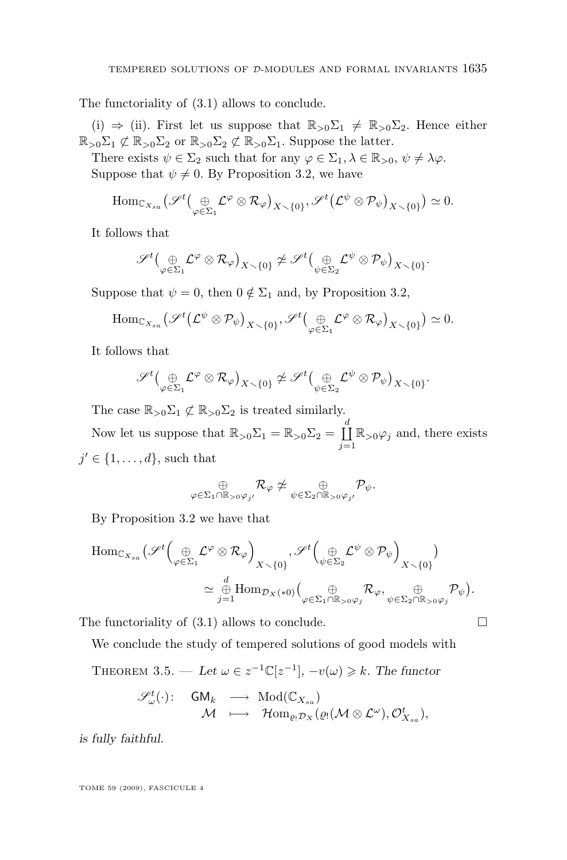<span id="page-25-0"></span>The functoriality of [\(3.1\)](#page-23-0) allows to conclude.

(i)  $\Rightarrow$  (ii). First let us suppose that  $\mathbb{R}_{>0}\Sigma_1 \neq \mathbb{R}_{>0}\Sigma_2$ . Hence either  $\mathbb{R}_{>0}\Sigma_1 \not\subset \mathbb{R}_{>0}\Sigma_2$  or  $\mathbb{R}_{>0}\Sigma_2 \not\subset \mathbb{R}_{>0}\Sigma_1$ . Suppose the latter.

There exists  $\psi \in \Sigma_2$  such that for any  $\varphi \in \Sigma_1, \lambda \in \mathbb{R}_{>0}, \psi \neq \lambda \varphi$ . Suppose that  $\psi \neq 0$ . By Proposition [3.2,](#page-22-0) we have

$$
\mathrm{Hom}_{{\mathbb C}_{X_{sa}}}(\mathscr{S}^{t}(\underset{\varphi\in \Sigma_1}{\oplus} \mathcal{L}^{\varphi}\otimes \mathcal{R}_{\varphi})_{X\setminus\{0\}}, \mathscr{S}^{t}(\mathcal{L}^{\psi}\otimes \mathcal{P}_{\psi})_{X\setminus\{0\}})\simeq 0.
$$

It follows that

$$
\mathscr{S}^t\big(\underset{\varphi\in \Sigma_1}{\oplus}\mathcal{L}^\varphi\otimes \mathcal{R}_\varphi\big)_{X\smallsetminus\{0\}}\not\simeq \mathscr{S}^t\big(\underset{\psi\in \Sigma_2}{\oplus}\mathcal{L}^\psi\otimes \mathcal{P}_\psi\big)_{X\smallsetminus\{0\}}.
$$

Suppose that  $\psi = 0$ , then  $0 \notin \Sigma_1$  and, by Proposition [3.2,](#page-22-0)

$$
\mathrm{Hom}_{{\mathbb C}_{X_{sa}}}(\mathscr{S}^{t}(\mathcal{L}^{\psi}\otimes \mathcal{P}_{\psi})_{X\setminus\{0\}},\mathscr{S}^{t}(\underset{\varphi\in \Sigma_{1}}{\oplus}\mathcal{L}^{\varphi}\otimes \mathcal{R}_{\varphi})_{X\setminus\{0\}})\simeq 0.
$$

It follows that

$$
\mathscr{S}^t\big(\underset{\varphi\in\Sigma_1}{\oplus}\mathcal{L}^\varphi\otimes\mathcal{R}_\varphi\big)_{X\smallsetminus\{0\}}\ncong\mathscr{S}^t\big(\underset{\psi\in\Sigma_2}{\oplus}\mathcal{L}^\psi\otimes\mathcal{P}_\psi\big)_{X\smallsetminus\{0\}}.
$$

The case  $\mathbb{R}_{>0}\Sigma_1 \not\subset \mathbb{R}_{>0}\Sigma_2$  is treated similarly.

Now let us suppose that  $\mathbb{R}_{>0}\Sigma_1 = \mathbb{R}_{>0}\Sigma_2 = \coprod^d$  $\coprod_{j=1}^{\infty} \mathbb{R}_{>0} \varphi_j$  and, there exists  $j' \in \{1, \ldots, d\}$ , such that

$$
\mathop{\oplus}_{\varphi \in \Sigma_1 \cap \mathbb{R}_{>0} \varphi_{j'}} \mathcal{R}_{\varphi} \not\simeq \mathop{\oplus}_{\psi \in \Sigma_2 \cap \mathbb{R}_{>0} \varphi_{j'}} \mathcal{P}_{\psi}.
$$

By Proposition [3.2](#page-22-0) we have that

$$
\mathrm{Hom}_{{\mathbb C}_{X_{sa}}}(\mathscr{S}^{t} \Big( \underset{\varphi \in \Sigma_1}{\oplus} \mathcal{L}^{\varphi} \otimes \mathcal{R}_{\varphi} \Big)_{X \smallsetminus \{0\}} , \mathscr{S}^{t} \Big( \underset{\psi \in \Sigma_2}{\oplus} \mathcal{L}^{\psi} \otimes \mathcal{P}_{\psi} \Big)_{X \smallsetminus \{0\}} \Big) \simeq \underset{j=1}{\overset{d}{\oplus}} \mathrm{Hom}_{\mathcal{D}_X(*0)} \Big( \underset{\varphi \in \Sigma_1 \cap \mathbb{R}_{>0} \varphi_j}{\oplus} \mathcal{R}_{\varphi} , \underset{\psi \in \Sigma_2 \cap \mathbb{R}_{>0} \varphi_j}{\oplus} \mathcal{P}_{\psi} \Big).
$$

The functoriality of  $(3.1)$  allows to conclude.

We conclude the study of tempered solutions of good models with

THEOREM 3.5. — Let  $\omega \in z^{-1} \mathbb{C}[z^{-1}], -v(\omega) \geq k$ . The functor

$$
\begin{array}{rccc}\mathscr{S}_{\omega}^{t}(\cdot)\colon & \mathsf{GM}_k & \longrightarrow & \mathrm{Mod}(\mathbb{C}_{X_{sa}})\\ & \mathcal{M} & \longmapsto & \mathcal{H}\mathrm{om}_{\varrho_!\mathcal{D}_X}(\varrho_!\big(\mathcal{M}\otimes \mathcal{L}^{\omega}), \mathcal{O}_{X_{sa}}^t),\end{array}
$$

*is fully faithful.*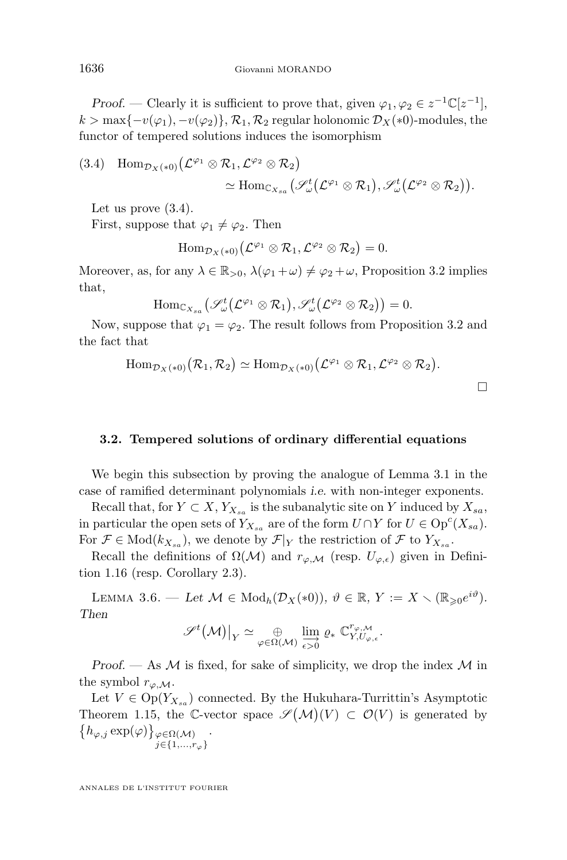<span id="page-26-0"></span>*Proof.* — Clearly it is sufficient to prove that, given  $\varphi_1, \varphi_2 \in z^{-1} \mathbb{C}[z^{-1}],$  $k > \max\{-v(\varphi_1), -v(\varphi_2)\}\,$ ,  $\mathcal{R}_1, \mathcal{R}_2$  regular holonomic  $\mathcal{D}_X(*0)$ -modules, the functor of tempered solutions induces the isomorphism

(3.4) 
$$
\text{Hom}_{\mathcal{D}_X(*0)}(\mathcal{L}^{\varphi_1} \otimes \mathcal{R}_1, \mathcal{L}^{\varphi_2} \otimes \mathcal{R}_2)
$$
  

$$
\simeq \text{Hom}_{\mathbb{C}_{X_{sa}}}(\mathscr{S}_{\omega}^t(\mathcal{L}^{\varphi_1} \otimes \mathcal{R}_1), \mathscr{S}_{\omega}^t(\mathcal{L}^{\varphi_2} \otimes \mathcal{R}_2)).
$$

Let us prove  $(3.4)$ .

First, suppose that  $\varphi_1 \neq \varphi_2$ . Then

 $\mathrm{Hom}_{\mathcal{D}_{X}(*0)}\big(\mathcal{L}^{\varphi_1}\otimes \mathcal{R}_1,\mathcal{L}^{\varphi_2}\otimes \mathcal{R}_2\big)=0.$ 

Moreover, as, for any  $\lambda \in \mathbb{R}_{>0}$ ,  $\lambda(\varphi_1 + \omega) \neq \varphi_2 + \omega$ , Proposition [3.2](#page-22-0) implies that,

$$
\mathrm{Hom}_{{\mathbb C} X_{sa}}\big(\mathscr{S}_{\omega}^t\big({\mathcal L}^{\varphi_1}\otimes {\mathcal R}_1\big),\mathscr{S}_{\omega}^t\big({\mathcal L}^{\varphi_2}\otimes {\mathcal R}_2\big)\big)=0.
$$

Now, suppose that  $\varphi_1 = \varphi_2$ . The result follows from Proposition [3.2](#page-22-0) and the fact that

$$
\mathrm{Hom}_{\mathcal{D}_X(*0)}(\mathcal{R}_1,\mathcal{R}_2)\simeq \mathrm{Hom}_{\mathcal{D}_X(*0)}(\mathcal{L}^{\varphi_1}\otimes \mathcal{R}_1,\mathcal{L}^{\varphi_2}\otimes \mathcal{R}_2).
$$

 $\Box$ 

### **3.2. Tempered solutions of ordinary differential equations**

We begin this subsection by proving the analogue of Lemma [3.1](#page-22-0) in the case of ramified determinant polynomials *i.e.* with non-integer exponents.

Recall that, for  $Y \subset X$ ,  $Y_{X_{sa}}$  is the subanalytic site on Y induced by  $X_{sa}$ , in particular the open sets of  $Y_{X_{sa}}$  are of the form  $U \cap Y$  for  $U \in \text{Op}^c(X_{sa})$ . For  $\mathcal{F} \in Mod(k_{X_{sa}})$ , we denote by  $\mathcal{F}|_Y$  the restriction of  $\mathcal{F}$  to  $Y_{X_{sa}}$ .

Recall the definitions of  $\Omega(\mathcal{M})$  and  $r_{\varphi,\mathcal{M}}$  (resp.  $U_{\varphi,\epsilon}$ ) given in Definition [1.16](#page-11-0) (resp. Corollary [2.3\)](#page-14-0).

LEMMA 3.6. — Let  $\mathcal{M} \in \text{Mod}_h(\mathcal{D}_X(*0)), \vartheta \in \mathbb{R}, Y := X \setminus (\mathbb{R}_{\geqslant 0} e^{i\vartheta}).$ *Then*

$$
\mathscr{S}^t(\mathcal{M})|_{Y} \simeq \underset{\varphi \in \Omega(\mathcal{M})}{\oplus} \varinjlim_{\epsilon > 0} \varrho_* \mathbb{C}^{r_{\varphi, \mathcal{M}}}_{Y, U_{\varphi, \epsilon}}.
$$

*Proof.* — As  $\mathcal M$  is fixed, for sake of simplicity, we drop the index  $\mathcal M$  in the symbol  $r_{\varphi,\mathcal{M}}$ .

Let  $V \in \text{Op}(Y_{X_{sa}})$  connected. By the Hukuhara-Turrittin's Asymptotic Theorem [1.15,](#page-10-0) the C-vector space  $\mathscr{S}(\mathcal{M})(V) \subset \mathcal{O}(V)$  is generated by  $\{h_{\varphi,j}\exp(\varphi)\}_{{\varphi}\in\Omega(\mathcal{M})}$  $j \in \{1, \ldots, r_{\varphi}\}\;$ .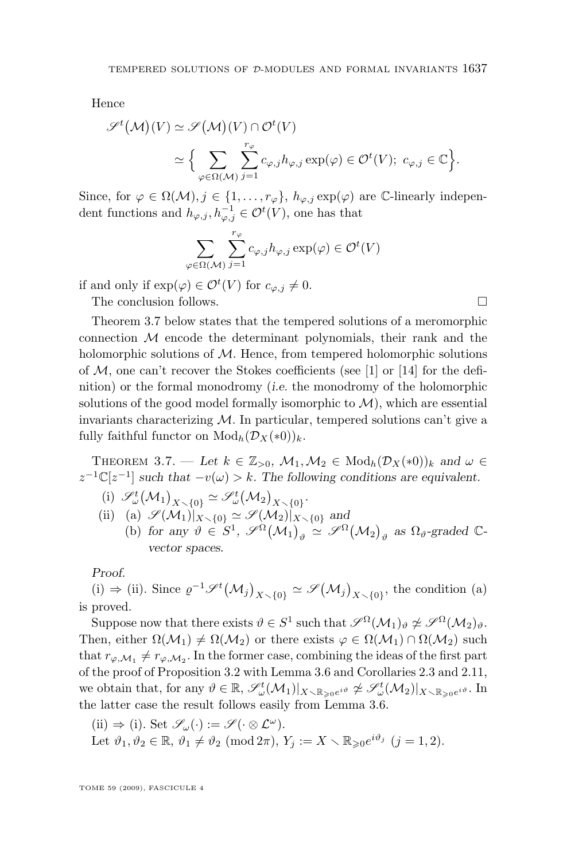<span id="page-27-0"></span>Hence

$$
\mathscr{S}^t(\mathcal{M})(V) \simeq \mathscr{S}(\mathcal{M})(V) \cap \mathcal{O}^t(V)
$$
  

$$
\simeq \Big\{ \sum_{\varphi \in \Omega(\mathcal{M})} \sum_{j=1}^{r_{\varphi}} c_{\varphi,j} h_{\varphi,j} \exp(\varphi) \in \mathcal{O}^t(V); \ c_{\varphi,j} \in \mathbb{C} \Big\}.
$$

Since, for  $\varphi \in \Omega(\mathcal{M}), j \in \{1, \ldots, r_{\varphi}\}, h_{\varphi, j} \exp(\varphi)$  are C-linearly independent functions and  $h_{\varphi,j}, h_{\varphi,j}^{-1} \in \mathcal{O}^t(V)$ , one has that

$$
\sum_{\varphi \in \Omega(\mathcal{M})} \sum_{j=1}^{r_{\varphi}} c_{\varphi,j} h_{\varphi,j} \exp(\varphi) \in \mathcal{O}^t(V)
$$

if and only if  $\exp(\varphi) \in \mathcal{O}^t(V)$  for  $c_{\varphi,j} \neq 0$ .

The conclusion follows.

Theorem 3.7 below states that the tempered solutions of a meromorphic connection  $M$  encode the determinant polynomials, their rank and the holomorphic solutions of  $M$ . Hence, from tempered holomorphic solutions of  $M$ , one can't recover the Stokes coefficients (see [\[1\]](#page-28-0) or [\[14\]](#page-29-0) for the definition) or the formal monodromy (*i.e.* the monodromy of the holomorphic solutions of the good model formally isomorphic to  $\mathcal{M}$ ), which are essential invariants characterizing  $\mathcal M$ . In particular, tempered solutions can't give a fully faithful functor on  $\text{Mod}_h(\mathcal{D}_X(*0))_k$ .

THEOREM 3.7. — Let  $k \in \mathbb{Z}_{>0}$ ,  $\mathcal{M}_1, \mathcal{M}_2 \in \text{Mod}_h(\mathcal{D}_X(*0))_k$  and  $\omega \in$  $z^{-1}\mathbb{C}[z^{-1}]$  such that  $-v(\omega) > k$ . The following conditions are equivalent.

- (i)  $\mathscr{S}_{\omega}^{t}(\mathcal{M}_{1})_{X\setminus\{0\}} \simeq \mathscr{S}_{\omega}^{t}(\mathcal{M}_{2})_{X\setminus\{0\}}.$
- (ii) (a)  $\mathscr{S}(\mathcal{M}_1)|_{X\setminus\{0\}} \simeq \mathscr{S}(\mathcal{M}_2)|_{X\setminus\{0\}}$  and
	- (b) for any  $\vartheta \in S^1$ ,  $\mathscr{S}^{\Omega}(\mathcal{M}_1)_{\vartheta} \simeq \mathscr{S}^{\Omega}(\mathcal{M}_2)_{\vartheta}$  as  $\Omega_{\vartheta}$ -graded  $\mathbb{C}$ *vector spaces.*

*Proof.*

(i) ⇒ (ii). Since  $\varrho^{-1}$  $\mathscr{S}^t(\mathcal{M}_j)_{X \setminus \{0\}} \simeq \mathscr{S}(\mathcal{M}_j)_{X \setminus \{0\}}$ , the condition (a) is proved.

Suppose now that there exists  $\theta \in S^1$  such that  $\mathscr{S}^{\Omega}(\mathcal{M}_1)_{\theta} \not\simeq \mathscr{S}^{\Omega}(\mathcal{M}_2)_{\theta}$ . Then, either  $\Omega(M_1) \neq \Omega(M_2)$  or there exists  $\varphi \in \Omega(M_1) \cap \Omega(M_2)$  such that  $r_{\varphi,M_1} \neq r_{\varphi,M_2}$ . In the former case, combining the ideas of the first part of the proof of Proposition [3.2](#page-22-0) with Lemma [3.6](#page-26-0) and Corollaries [2.3](#page-14-0) and [2.11,](#page-20-0) we obtain that, for any  $\vartheta \in \mathbb{R}$ ,  $\mathscr{S}_{\omega}^{t}(\mathcal{M}_{1})|_{X \setminus \mathbb{R}_{\geqslant 0}e^{i\vartheta}} \not\cong \mathscr{S}_{\omega}^{t}(\mathcal{M}_{2})|_{X \setminus \mathbb{R}_{\geqslant 0}e^{i\vartheta}}$ . In the latter case the result follows easily from Lemma [3.6.](#page-26-0)

(ii) 
$$
\Rightarrow
$$
 (i). Set  $\mathscr{S}_{\omega}(\cdot) := \mathscr{S}(\cdot \otimes \mathcal{L}^{\omega})$ .  
Let  $\vartheta_1, \vartheta_2 \in \mathbb{R}, \vartheta_1 \neq \vartheta_2 \pmod{2\pi}$ ,  $Y_j := X \setminus \mathbb{R}_{\geq 0} e^{i\vartheta_j}$   $(j = 1, 2)$ .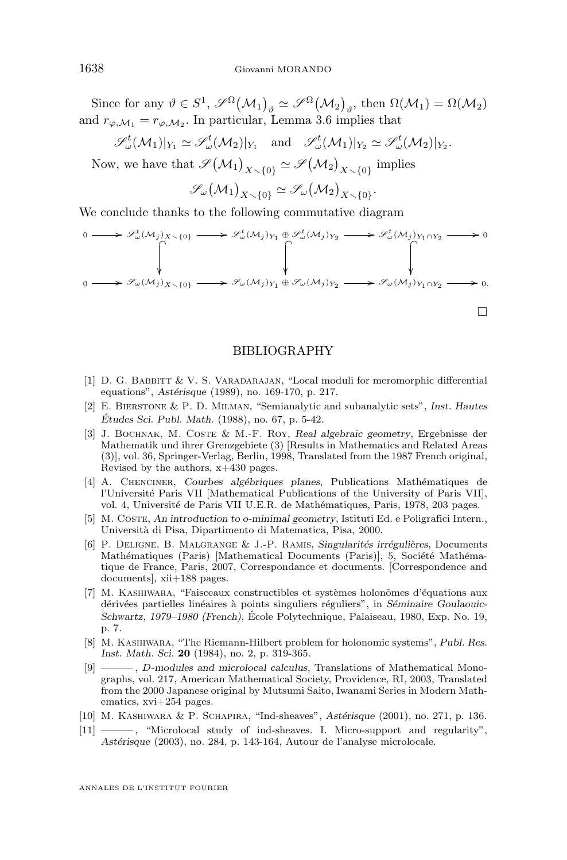<span id="page-28-0"></span>Since for any  $\vartheta \in S^1$ ,  $\mathscr{S}^{\Omega}(\mathcal{M}_1)_{\vartheta} \simeq \mathscr{S}^{\Omega}(\mathcal{M}_2)_{\vartheta}$ , then  $\Omega(\mathcal{M}_1) = \Omega(\mathcal{M}_2)$ and  $r_{\varphi,\mathcal{M}_1} = r_{\varphi,\mathcal{M}_2}$ . In particular, Lemma [3.6](#page-26-0) implies that

 $\mathscr{S}_{\omega}^{t}(\mathcal{M}_{1})|_{Y_{1}} \simeq \mathscr{S}_{\omega}^{t}(\mathcal{M}_{2})|_{Y_{1}} \text{ and } \mathscr{S}_{\omega}^{t}(\mathcal{M}_{1})|_{Y_{2}} \simeq \mathscr{S}_{\omega}^{t}(\mathcal{M}_{2})|_{Y_{2}}.$ 

Now, we have that  $\mathscr{S}(\mathcal{M}_1)_{X \setminus \{0\}} \simeq \mathscr{S}(\mathcal{M}_2)_{X \setminus \{0\}}$  implies

 $\mathscr{S}_{\omega}(\mathcal{M}_1)_{X \smallsetminus \{0\}} \simeq \mathscr{S}_{\omega}(\mathcal{M}_2)_{X \smallsetminus \{0\}}.$ 

We conclude thanks to the following commutative diagram

$$
0 \longrightarrow \mathscr{S}_{\omega}^{t}(M_{j})_{X \setminus \{0\}} \longrightarrow \mathscr{S}_{\omega}^{t}(M_{j})_{Y_{1}} \oplus \mathscr{S}_{\omega}^{t}(M_{j})_{Y_{2}} \longrightarrow \mathscr{S}_{\omega}^{t}(M_{j})_{Y_{1} \cap Y_{2}} \longrightarrow 0
$$
  
\n
$$
\downarrow
$$
\n
$$
0 \longrightarrow \mathscr{S}_{\omega}(M_{j})_{X \setminus \{0\}} \longrightarrow \mathscr{S}_{\omega}(M_{j})_{Y_{1}} \oplus \mathscr{S}_{\omega}(M_{j})_{Y_{2}} \longrightarrow \mathscr{S}_{\omega}(M_{j})_{Y_{1} \cap Y_{2}} \longrightarrow 0.
$$

#### BIBLIOGRAPHY

- [1] D. G. BABBITT & V. S. VARADARAJAN, "Local moduli for meromorphic differential equations", *Astérisque* (1989), no. 169-170, p. 217.
- [2] E. Bierstone & P. D. Milman, "Semianalytic and subanalytic sets", *Inst. Hautes Études Sci. Publ. Math.* (1988), no. 67, p. 5-42.
- [3] J. Bochnak, M. Coste & M.-F. Roy, *Real algebraic geometry*, Ergebnisse der Mathematik und ihrer Grenzgebiete (3) [Results in Mathematics and Related Areas (3)], vol. 36, Springer-Verlag, Berlin, 1998, Translated from the 1987 French original, Revised by the authors, x+430 pages.
- [4] A. Chenciner, *Courbes algébriques planes*, Publications Mathématiques de l'Université Paris VII [Mathematical Publications of the University of Paris VII], vol. 4, Université de Paris VII U.E.R. de Mathématiques, Paris, 1978, 203 pages.
- [5] M. Coste, *An introduction to o-minimal geometry*, Istituti Ed. e Poligrafici Intern., Università di Pisa, Dipartimento di Matematica, Pisa, 2000.
- [6] P. Deligne, B. Malgrange & J.-P. Ramis, *Singularités irrégulières*, Documents Mathématiques (Paris) [Mathematical Documents (Paris)], 5, Société Mathématique de France, Paris, 2007, Correspondance et documents. [Correspondence and documents], xii+188 pages.
- [7] M. Kashiwara, "Faisceaux constructibles et systèmes holonômes d'équations aux dérivées partielles linéaires à points singuliers réguliers", in *Séminaire Goulaouic-Schwartz, 1979–1980 (French)*, École Polytechnique, Palaiseau, 1980, Exp. No. 19, p. 7.
- [8] M. Kashiwara, "The Riemann-Hilbert problem for holonomic systems", *Publ. Res. Inst. Math. Sci.* **20** (1984), no. 2, p. 319-365.
- [9] ——— , D*-modules and microlocal calculus*, Translations of Mathematical Monographs, vol. 217, American Mathematical Society, Providence, RI, 2003, Translated from the 2000 Japanese original by Mutsumi Saito, Iwanami Series in Modern Mathematics, xvi+254 pages.
- [10] M. Kashiwara & P. Schapira, "Ind-sheaves", *Astérisque* (2001), no. 271, p. 136.
- [11] ——— , "Microlocal study of ind-sheaves. I. Micro-support and regularity", *Astérisque* (2003), no. 284, p. 143-164, Autour de l'analyse microlocale.